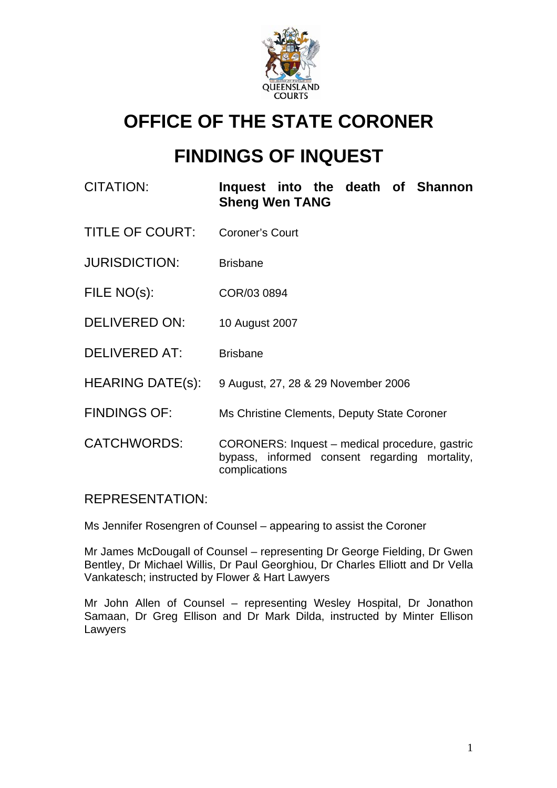

# **OFFICE OF THE STATE CORONER**

# **FINDINGS OF INQUEST**

| CITATION:               | Inquest into the death of Shannon<br><b>Sheng Wen TANG</b>                                                       |
|-------------------------|------------------------------------------------------------------------------------------------------------------|
| <b>TITLE OF COURT:</b>  | <b>Coroner's Court</b>                                                                                           |
| <b>JURISDICTION:</b>    | <b>Brisbane</b>                                                                                                  |
| FILE NO(s):             | COR/03 0894                                                                                                      |
| <b>DELIVERED ON:</b>    | 10 August 2007                                                                                                   |
| <b>DELIVERED AT:</b>    | <b>Brisbane</b>                                                                                                  |
| <b>HEARING DATE(s):</b> | 9 August, 27, 28 & 29 November 2006                                                                              |
| <b>FINDINGS OF:</b>     | Ms Christine Clements, Deputy State Coroner                                                                      |
| <b>CATCHWORDS:</b>      | CORONERS: Inquest – medical procedure, gastric<br>bypass, informed consent regarding mortality,<br>complications |

## REPRESENTATION:

Ms Jennifer Rosengren of Counsel – appearing to assist the Coroner

Mr James McDougall of Counsel – representing Dr George Fielding, Dr Gwen Bentley, Dr Michael Willis, Dr Paul Georghiou, Dr Charles Elliott and Dr Vella Vankatesch; instructed by Flower & Hart Lawyers

Mr John Allen of Counsel – representing Wesley Hospital, Dr Jonathon Samaan, Dr Greg Ellison and Dr Mark Dilda, instructed by Minter Ellison Lawyers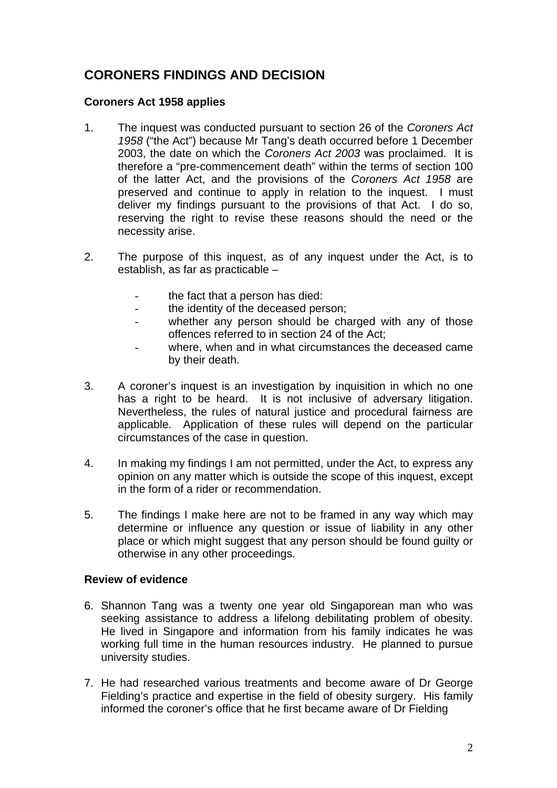## **CORONERS FINDINGS AND DECISION**

#### **Coroners Act 1958 applies**

- 1. The inquest was conducted pursuant to section 26 of the *Coroners Act 1958* ("the Act") because Mr Tang's death occurred before 1 December 2003, the date on which the *Coroners Act 2003* was proclaimed. It is therefore a "pre-commencement death" within the terms of section 100 of the latter Act, and the provisions of the *Coroners Act 1958* are preserved and continue to apply in relation to the inquest.I must deliver my findings pursuant to the provisions of that Act. I do so, reserving the right to revise these reasons should the need or the necessity arise.
- 2. The purpose of this inquest, as of any inquest under the Act, is to establish, as far as practicable –
	- the fact that a person has died:
	- the identity of the deceased person;
	- whether any person should be charged with any of those offences referred to in section 24 of the Act;
	- where, when and in what circumstances the deceased came by their death.
- 3. A coroner's inquest is an investigation by inquisition in which no one has a right to be heard. It is not inclusive of adversary litigation. Nevertheless, the rules of natural justice and procedural fairness are applicable. Application of these rules will depend on the particular circumstances of the case in question.
- 4. In making my findings I am not permitted, under the Act, to express any opinion on any matter which is outside the scope of this inquest, except in the form of a rider or recommendation.
- 5. The findings I make here are not to be framed in any way which may determine or influence any question or issue of liability in any other place or which might suggest that any person should be found guilty or otherwise in any other proceedings.

#### **Review of evidence**

- 6. Shannon Tang was a twenty one year old Singaporean man who was seeking assistance to address a lifelong debilitating problem of obesity. He lived in Singapore and information from his family indicates he was working full time in the human resources industry. He planned to pursue university studies.
- 7. He had researched various treatments and become aware of Dr George Fielding's practice and expertise in the field of obesity surgery. His family informed the coroner's office that he first became aware of Dr Fielding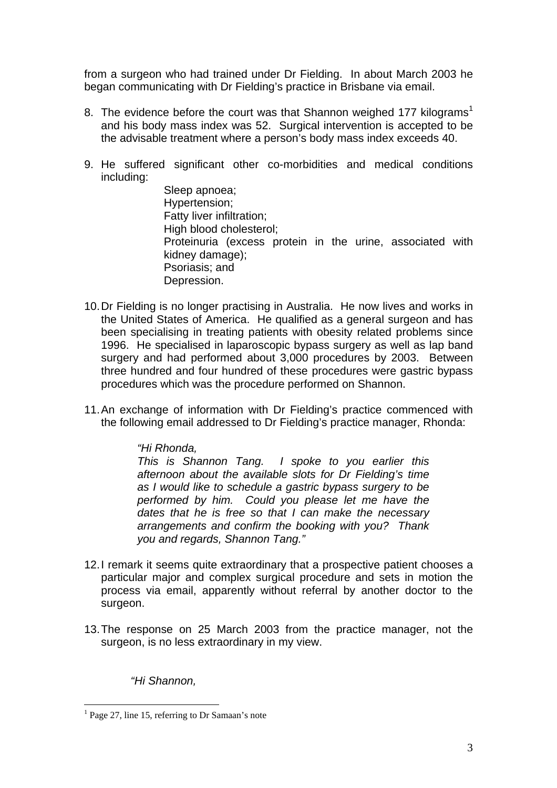from a surgeon who had trained under Dr Fielding. In about March 2003 he began communicating with Dr Fielding's practice in Brisbane via email.

- 8. The evidence before the court was that Shannon weighed 177 kilograms<sup>1</sup> and his body mass index was 52. Surgical intervention is accepted to be the advisable treatment where a person's body mass index exceeds 40.
- 9. He suffered significant other co-morbidities and medical conditions including:

Sleep apnoea; Hypertension; Fatty liver infiltration; High blood cholesterol; Proteinuria (excess protein in the urine, associated with kidney damage); Psoriasis; and Depression.

- 10. Dr Fielding is no longer practising in Australia. He now lives and works in the United States of America. He qualified as a general surgeon and has been specialising in treating patients with obesity related problems since 1996. He specialised in laparoscopic bypass surgery as well as lap band surgery and had performed about 3,000 procedures by 2003. Between three hundred and four hundred of these procedures were gastric bypass procedures which was the procedure performed on Shannon.
- 11. An exchange of information with Dr Fielding's practice commenced with the following email addressed to Dr Fielding's practice manager, Rhonda:

#### *"Hi Rhonda,*

*This is Shannon Tang. I spoke to you earlier this afternoon about the available slots for Dr Fielding's time as I would like to schedule a gastric bypass surgery to be performed by him. Could you please let me have the dates that he is free so that I can make the necessary arrangements and confirm the booking with you? Thank you and regards, Shannon Tang."* 

- 12. I remark it seems quite extraordinary that a prospective patient chooses a particular major and complex surgical procedure and sets in motion the process via email, apparently without referral by another doctor to the surgeon.
- 13. The response on 25 March 2003 from the practice manager, not the surgeon, is no less extraordinary in my view.

*"Hi Shannon,* 

 1 Page 27, line 15, referring to Dr Samaan's note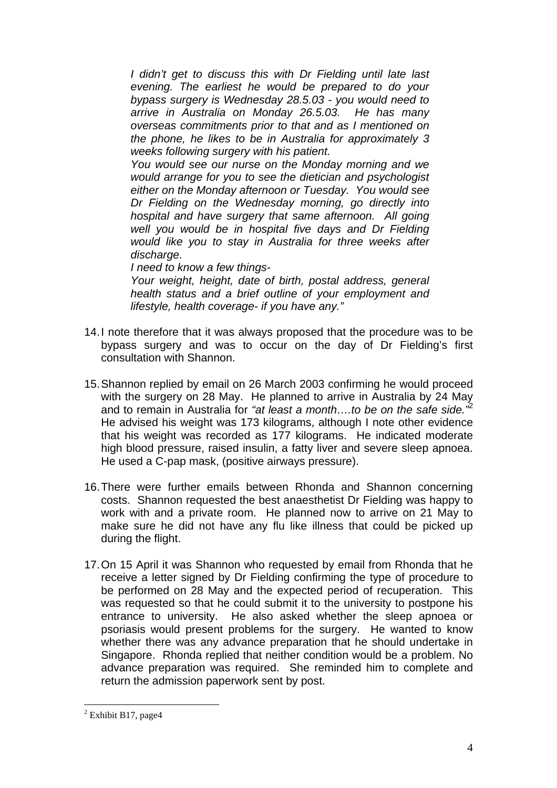*I didn't get to discuss this with Dr Fielding until late last evening. The earliest he would be prepared to do your bypass surgery is Wednesday 28.5.03 - you would need to arrive in Australia on Monday 26.5.03. He has many overseas commitments prior to that and as I mentioned on the phone, he likes to be in Australia for approximately 3 weeks following surgery with his patient.* 

*You would see our nurse on the Monday morning and we would arrange for you to see the dietician and psychologist either on the Monday afternoon or Tuesday. You would see Dr Fielding on the Wednesday morning, go directly into hospital and have surgery that same afternoon. All going well you would be in hospital five days and Dr Fielding would like you to stay in Australia for three weeks after discharge.*

*I need to know a few things-*

*Your weight, height, date of birth, postal address, general health status and a brief outline of your employment and lifestyle, health coverage- if you have any."* 

- 14. I note therefore that it was always proposed that the procedure was to be bypass surgery and was to occur on the day of Dr Fielding's first consultation with Shannon.
- 15. Shannon replied by email on 26 March 2003 confirming he would proceed with the surgery on 28 May. He planned to arrive in Australia by 24 May and to remain in Australia for *"at least a month….to be on the safe side."*<sup>2</sup> He advised his weight was 173 kilograms, although I note other evidence that his weight was recorded as 177 kilograms. He indicated moderate high blood pressure, raised insulin, a fatty liver and severe sleep apnoea. He used a C-pap mask, (positive airways pressure).
- 16. There were further emails between Rhonda and Shannon concerning costs. Shannon requested the best anaesthetist Dr Fielding was happy to work with and a private room. He planned now to arrive on 21 May to make sure he did not have any flu like illness that could be picked up during the flight.
- 17. On 15 April it was Shannon who requested by email from Rhonda that he receive a letter signed by Dr Fielding confirming the type of procedure to be performed on 28 May and the expected period of recuperation. This was requested so that he could submit it to the university to postpone his entrance to university. He also asked whether the sleep apnoea or psoriasis would present problems for the surgery. He wanted to know whether there was any advance preparation that he should undertake in Singapore. Rhonda replied that neither condition would be a problem. No advance preparation was required. She reminded him to complete and return the admission paperwork sent by post.

<sup>&</sup>lt;sup>2</sup> Exhibit B17, page4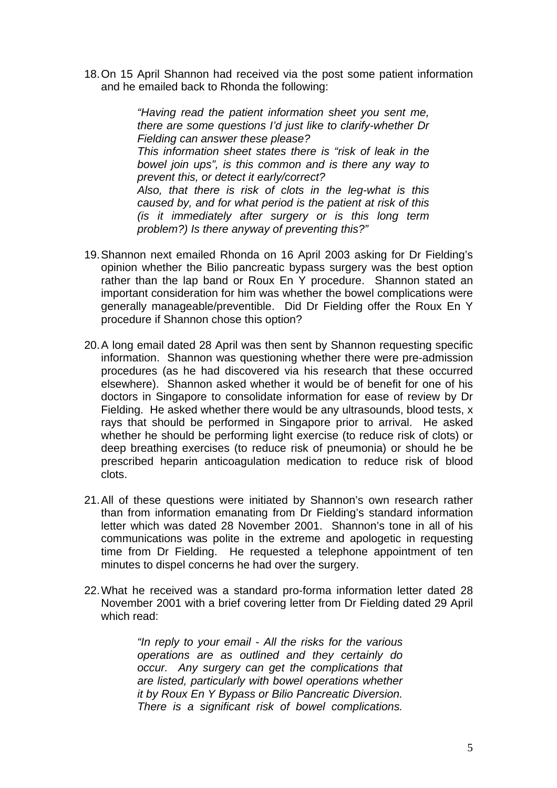18. On 15 April Shannon had received via the post some patient information and he emailed back to Rhonda the following:

> *"Having read the patient information sheet you sent me, there are some questions I'd just like to clarify-whether Dr Fielding can answer these please? This information sheet states there is "risk of leak in the bowel join ups", is this common and is there any way to prevent this, or detect it early/correct? Also, that there is risk of clots in the leg-what is this caused by, and for what period is the patient at risk of this (is it immediately after surgery or is this long term problem?) Is there anyway of preventing this?"*

- 19. Shannon next emailed Rhonda on 16 April 2003 asking for Dr Fielding's opinion whether the Bilio pancreatic bypass surgery was the best option rather than the lap band or Roux En Y procedure. Shannon stated an important consideration for him was whether the bowel complications were generally manageable/preventible. Did Dr Fielding offer the Roux En Y procedure if Shannon chose this option?
- 20. A long email dated 28 April was then sent by Shannon requesting specific information. Shannon was questioning whether there were pre-admission procedures (as he had discovered via his research that these occurred elsewhere). Shannon asked whether it would be of benefit for one of his doctors in Singapore to consolidate information for ease of review by Dr Fielding. He asked whether there would be any ultrasounds, blood tests, x rays that should be performed in Singapore prior to arrival. He asked whether he should be performing light exercise (to reduce risk of clots) or deep breathing exercises (to reduce risk of pneumonia) or should he be prescribed heparin anticoagulation medication to reduce risk of blood clots.
- 21. All of these questions were initiated by Shannon's own research rather than from information emanating from Dr Fielding's standard information letter which was dated 28 November 2001. Shannon's tone in all of his communications was polite in the extreme and apologetic in requesting time from Dr Fielding. He requested a telephone appointment of ten minutes to dispel concerns he had over the surgery.
- 22. What he received was a standard pro-forma information letter dated 28 November 2001 with a brief covering letter from Dr Fielding dated 29 April which read:

*"In reply to your email - All the risks for the various operations are as outlined and they certainly do occur. Any surgery can get the complications that are listed, particularly with bowel operations whether it by Roux En Y Bypass or Bilio Pancreatic Diversion. There is a significant risk of bowel complications.*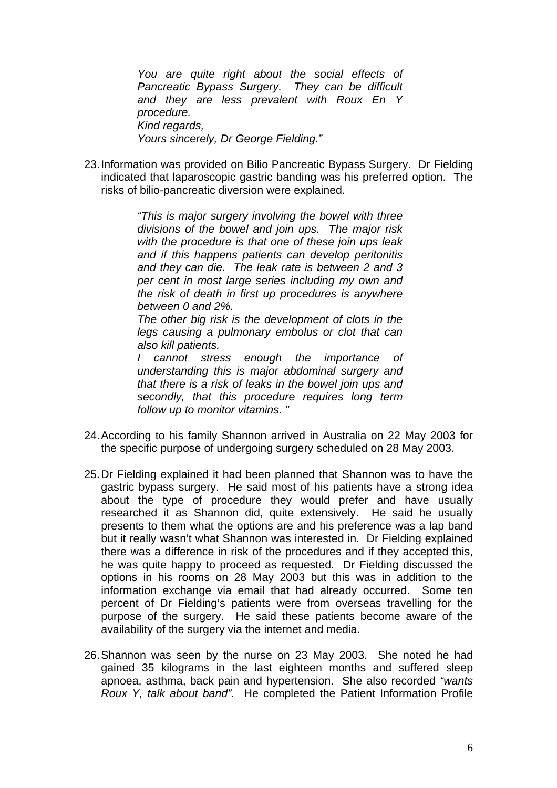*You are quite right about the social effects of Pancreatic Bypass Surgery. They can be difficult and they are less prevalent with Roux En Y procedure. Kind regards, Yours sincerely, Dr George Fielding."* 

23. Information was provided on Bilio Pancreatic Bypass Surgery. Dr Fielding indicated that laparoscopic gastric banding was his preferred option. The risks of bilio-pancreatic diversion were explained.

> *"This is major surgery involving the bowel with three divisions of the bowel and join ups. The major risk with the procedure is that one of these join ups leak and if this happens patients can develop peritonitis and they can die. The leak rate is between 2 and 3 per cent in most large series including my own and the risk of death in first up procedures is anywhere between 0 and 2%.*

> *The other big risk is the development of clots in the legs causing a pulmonary embolus or clot that can also kill patients.*

> *I cannot stress enough the importance of understanding this is major abdominal surgery and that there is a risk of leaks in the bowel join ups and secondly, that this procedure requires long term follow up to monitor vitamins. "*

- 24. According to his family Shannon arrived in Australia on 22 May 2003 for the specific purpose of undergoing surgery scheduled on 28 May 2003.
- 25. Dr Fielding explained it had been planned that Shannon was to have the gastric bypass surgery. He said most of his patients have a strong idea about the type of procedure they would prefer and have usually researched it as Shannon did, quite extensively. He said he usually presents to them what the options are and his preference was a lap band but it really wasn't what Shannon was interested in. Dr Fielding explained there was a difference in risk of the procedures and if they accepted this, he was quite happy to proceed as requested. Dr Fielding discussed the options in his rooms on 28 May 2003 but this was in addition to the information exchange via email that had already occurred. Some ten percent of Dr Fielding's patients were from overseas travelling for the purpose of the surgery. He said these patients become aware of the availability of the surgery via the internet and media.
- 26. Shannon was seen by the nurse on 23 May 2003. She noted he had gained 35 kilograms in the last eighteen months and suffered sleep apnoea, asthma, back pain and hypertension. She also recorded *"wants Roux Y, talk about band".* He completed the Patient Information Profile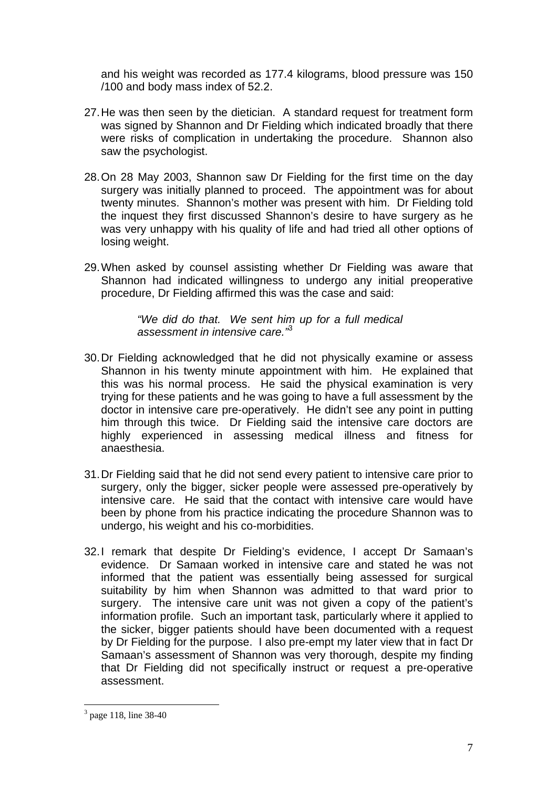and his weight was recorded as 177.4 kilograms, blood pressure was 150 /100 and body mass index of 52.2.

- 27. He was then seen by the dietician. A standard request for treatment form was signed by Shannon and Dr Fielding which indicated broadly that there were risks of complication in undertaking the procedure. Shannon also saw the psychologist.
- 28. On 28 May 2003, Shannon saw Dr Fielding for the first time on the day surgery was initially planned to proceed. The appointment was for about twenty minutes. Shannon's mother was present with him. Dr Fielding told the inquest they first discussed Shannon's desire to have surgery as he was very unhappy with his quality of life and had tried all other options of losing weight.
- 29. When asked by counsel assisting whether Dr Fielding was aware that Shannon had indicated willingness to undergo any initial preoperative procedure, Dr Fielding affirmed this was the case and said:

*"We did do that. We sent him up for a full medical assessment in intensive care."*<sup>3</sup>

- 30. Dr Fielding acknowledged that he did not physically examine or assess Shannon in his twenty minute appointment with him. He explained that this was his normal process. He said the physical examination is very trying for these patients and he was going to have a full assessment by the doctor in intensive care pre-operatively. He didn't see any point in putting him through this twice. Dr Fielding said the intensive care doctors are highly experienced in assessing medical illness and fitness for anaesthesia.
- 31. Dr Fielding said that he did not send every patient to intensive care prior to surgery, only the bigger, sicker people were assessed pre-operatively by intensive care. He said that the contact with intensive care would have been by phone from his practice indicating the procedure Shannon was to undergo, his weight and his co-morbidities.
- 32. I remark that despite Dr Fielding's evidence, I accept Dr Samaan's evidence. Dr Samaan worked in intensive care and stated he was not informed that the patient was essentially being assessed for surgical suitability by him when Shannon was admitted to that ward prior to surgery. The intensive care unit was not given a copy of the patient's information profile. Such an important task, particularly where it applied to the sicker, bigger patients should have been documented with a request by Dr Fielding for the purpose. I also pre-empt my later view that in fact Dr Samaan's assessment of Shannon was very thorough, despite my finding that Dr Fielding did not specifically instruct or request a pre-operative assessment.

<sup>3</sup> page 118, line 38-40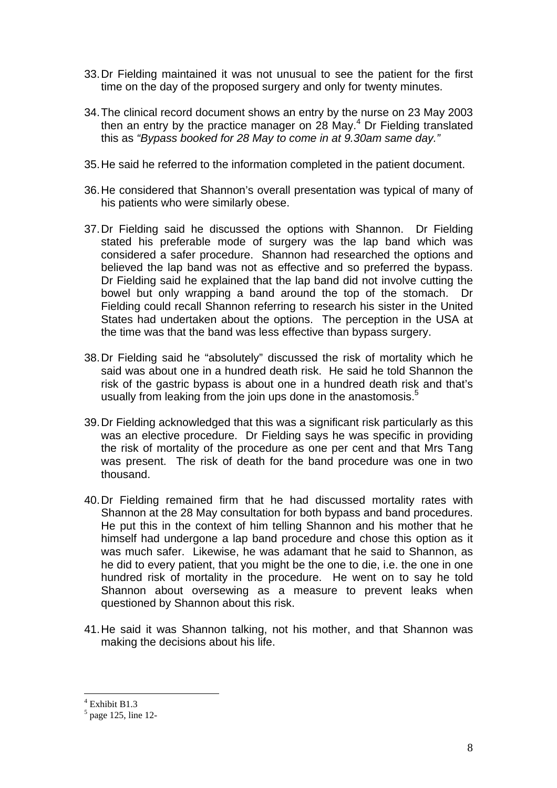- 33. Dr Fielding maintained it was not unusual to see the patient for the first time on the day of the proposed surgery and only for twenty minutes.
- 34. The clinical record document shows an entry by the nurse on 23 May 2003 then an entry by the practice manager on  $28$  May.<sup>4</sup> Dr Fielding translated this as *"Bypass booked for 28 May to come in at 9.30am same day."*
- 35. He said he referred to the information completed in the patient document.
- 36. He considered that Shannon's overall presentation was typical of many of his patients who were similarly obese.
- 37. Dr Fielding said he discussed the options with Shannon. Dr Fielding stated his preferable mode of surgery was the lap band which was considered a safer procedure. Shannon had researched the options and believed the lap band was not as effective and so preferred the bypass. Dr Fielding said he explained that the lap band did not involve cutting the bowel but only wrapping a band around the top of the stomach. Dr Fielding could recall Shannon referring to research his sister in the United States had undertaken about the options. The perception in the USA at the time was that the band was less effective than bypass surgery.
- 38. Dr Fielding said he "absolutely" discussed the risk of mortality which he said was about one in a hundred death risk. He said he told Shannon the risk of the gastric bypass is about one in a hundred death risk and that's usually from leaking from the join ups done in the anastomosis.<sup>5</sup>
- 39. Dr Fielding acknowledged that this was a significant risk particularly as this was an elective procedure. Dr Fielding says he was specific in providing the risk of mortality of the procedure as one per cent and that Mrs Tang was present. The risk of death for the band procedure was one in two thousand.
- 40. Dr Fielding remained firm that he had discussed mortality rates with Shannon at the 28 May consultation for both bypass and band procedures. He put this in the context of him telling Shannon and his mother that he himself had undergone a lap band procedure and chose this option as it was much safer. Likewise, he was adamant that he said to Shannon, as he did to every patient, that you might be the one to die, i.e. the one in one hundred risk of mortality in the procedure. He went on to say he told Shannon about oversewing as a measure to prevent leaks when questioned by Shannon about this risk.
- 41. He said it was Shannon talking, not his mother, and that Shannon was making the decisions about his life.

 $\frac{4}{5}$  Exhibit B1.3

 $<sup>5</sup>$  page 125, line 12-</sup>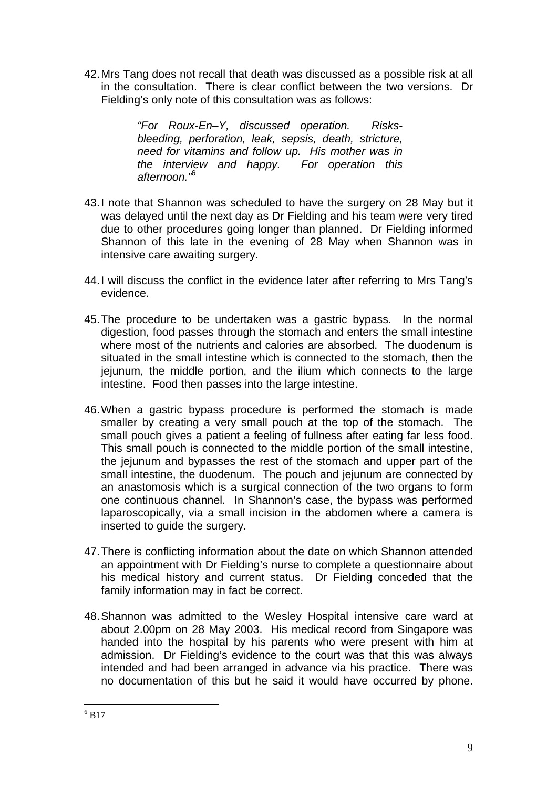42. Mrs Tang does not recall that death was discussed as a possible risk at all in the consultation. There is clear conflict between the two versions. Dr Fielding's only note of this consultation was as follows:

> *"For Roux-En–Y, discussed operation. Risksbleeding, perforation, leak, sepsis, death, stricture, need for vitamins and follow up. His mother was in the interview and happy. For operation this afternoon."*<sup>6</sup>

- 43. I note that Shannon was scheduled to have the surgery on 28 May but it was delayed until the next day as Dr Fielding and his team were very tired due to other procedures going longer than planned. Dr Fielding informed Shannon of this late in the evening of 28 May when Shannon was in intensive care awaiting surgery.
- 44. I will discuss the conflict in the evidence later after referring to Mrs Tang's evidence.
- 45. The procedure to be undertaken was a gastric bypass. In the normal digestion, food passes through the stomach and enters the small intestine where most of the nutrients and calories are absorbed. The duodenum is situated in the small intestine which is connected to the stomach, then the jejunum, the middle portion, and the ilium which connects to the large intestine. Food then passes into the large intestine.
- 46. When a gastric bypass procedure is performed the stomach is made smaller by creating a very small pouch at the top of the stomach. The small pouch gives a patient a feeling of fullness after eating far less food. This small pouch is connected to the middle portion of the small intestine, the jejunum and bypasses the rest of the stomach and upper part of the small intestine, the duodenum. The pouch and jejunum are connected by an anastomosis which is a surgical connection of the two organs to form one continuous channel. In Shannon's case, the bypass was performed laparoscopically, via a small incision in the abdomen where a camera is inserted to guide the surgery.
- 47. There is conflicting information about the date on which Shannon attended an appointment with Dr Fielding's nurse to complete a questionnaire about his medical history and current status. Dr Fielding conceded that the family information may in fact be correct.
- 48. Shannon was admitted to the Wesley Hospital intensive care ward at about 2.00pm on 28 May 2003. His medical record from Singapore was handed into the hospital by his parents who were present with him at admission. Dr Fielding's evidence to the court was that this was always intended and had been arranged in advance via his practice. There was no documentation of this but he said it would have occurred by phone.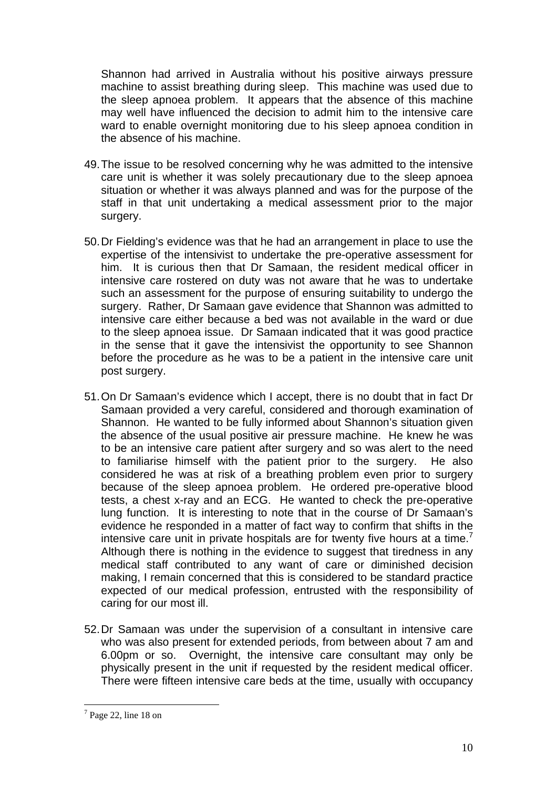Shannon had arrived in Australia without his positive airways pressure machine to assist breathing during sleep. This machine was used due to the sleep apnoea problem. It appears that the absence of this machine may well have influenced the decision to admit him to the intensive care ward to enable overnight monitoring due to his sleep apnoea condition in the absence of his machine.

- 49. The issue to be resolved concerning why he was admitted to the intensive care unit is whether it was solely precautionary due to the sleep apnoea situation or whether it was always planned and was for the purpose of the staff in that unit undertaking a medical assessment prior to the major surgery.
- 50. Dr Fielding's evidence was that he had an arrangement in place to use the expertise of the intensivist to undertake the pre-operative assessment for him. It is curious then that Dr Samaan, the resident medical officer in intensive care rostered on duty was not aware that he was to undertake such an assessment for the purpose of ensuring suitability to undergo the surgery. Rather, Dr Samaan gave evidence that Shannon was admitted to intensive care either because a bed was not available in the ward or due to the sleep apnoea issue. Dr Samaan indicated that it was good practice in the sense that it gave the intensivist the opportunity to see Shannon before the procedure as he was to be a patient in the intensive care unit post surgery.
- 51. On Dr Samaan's evidence which I accept, there is no doubt that in fact Dr Samaan provided a very careful, considered and thorough examination of Shannon. He wanted to be fully informed about Shannon's situation given the absence of the usual positive air pressure machine. He knew he was to be an intensive care patient after surgery and so was alert to the need to familiarise himself with the patient prior to the surgery. He also considered he was at risk of a breathing problem even prior to surgery because of the sleep apnoea problem. He ordered pre-operative blood tests, a chest x-ray and an ECG. He wanted to check the pre-operative lung function. It is interesting to note that in the course of Dr Samaan's evidence he responded in a matter of fact way to confirm that shifts in the intensive care unit in private hospitals are for twenty five hours at a time.<sup>7</sup> Although there is nothing in the evidence to suggest that tiredness in any medical staff contributed to any want of care or diminished decision making, I remain concerned that this is considered to be standard practice expected of our medical profession, entrusted with the responsibility of caring for our most ill.
- 52. Dr Samaan was under the supervision of a consultant in intensive care who was also present for extended periods, from between about 7 am and 6.00pm or so. Overnight, the intensive care consultant may only be physically present in the unit if requested by the resident medical officer. There were fifteen intensive care beds at the time, usually with occupancy

 $<sup>7</sup>$  Page 22, line 18 on</sup>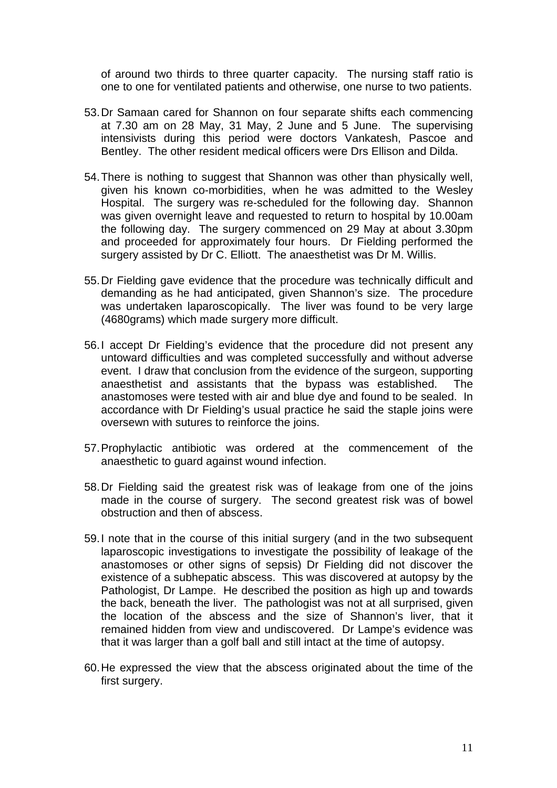of around two thirds to three quarter capacity. The nursing staff ratio is one to one for ventilated patients and otherwise, one nurse to two patients.

- 53. Dr Samaan cared for Shannon on four separate shifts each commencing at 7.30 am on 28 May, 31 May, 2 June and 5 June. The supervising intensivists during this period were doctors Vankatesh, Pascoe and Bentley. The other resident medical officers were Drs Ellison and Dilda.
- 54. There is nothing to suggest that Shannon was other than physically well, given his known co-morbidities, when he was admitted to the Wesley Hospital. The surgery was re-scheduled for the following day. Shannon was given overnight leave and requested to return to hospital by 10.00am the following day. The surgery commenced on 29 May at about 3.30pm and proceeded for approximately four hours. Dr Fielding performed the surgery assisted by Dr C. Elliott. The anaesthetist was Dr M. Willis.
- 55. Dr Fielding gave evidence that the procedure was technically difficult and demanding as he had anticipated, given Shannon's size. The procedure was undertaken laparoscopically. The liver was found to be very large (4680grams) which made surgery more difficult.
- 56. I accept Dr Fielding's evidence that the procedure did not present any untoward difficulties and was completed successfully and without adverse event. I draw that conclusion from the evidence of the surgeon, supporting anaesthetist and assistants that the bypass was established. The anastomoses were tested with air and blue dye and found to be sealed. In accordance with Dr Fielding's usual practice he said the staple joins were oversewn with sutures to reinforce the joins.
- 57. Prophylactic antibiotic was ordered at the commencement of the anaesthetic to guard against wound infection.
- 58. Dr Fielding said the greatest risk was of leakage from one of the joins made in the course of surgery. The second greatest risk was of bowel obstruction and then of abscess.
- 59. I note that in the course of this initial surgery (and in the two subsequent laparoscopic investigations to investigate the possibility of leakage of the anastomoses or other signs of sepsis) Dr Fielding did not discover the existence of a subhepatic abscess. This was discovered at autopsy by the Pathologist, Dr Lampe. He described the position as high up and towards the back, beneath the liver. The pathologist was not at all surprised, given the location of the abscess and the size of Shannon's liver, that it remained hidden from view and undiscovered. Dr Lampe's evidence was that it was larger than a golf ball and still intact at the time of autopsy.
- 60. He expressed the view that the abscess originated about the time of the first surgery.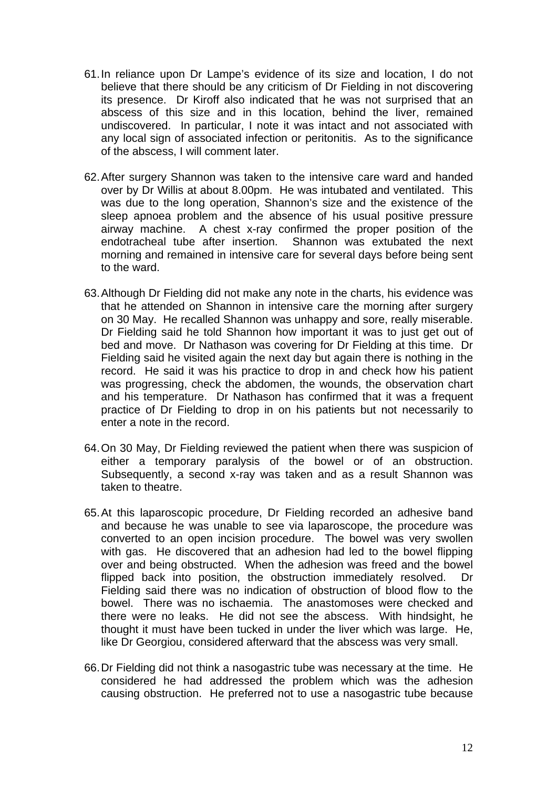- 61. In reliance upon Dr Lampe's evidence of its size and location, I do not believe that there should be any criticism of Dr Fielding in not discovering its presence. Dr Kiroff also indicated that he was not surprised that an abscess of this size and in this location, behind the liver, remained undiscovered. In particular, I note it was intact and not associated with any local sign of associated infection or peritonitis. As to the significance of the abscess, I will comment later.
- 62. After surgery Shannon was taken to the intensive care ward and handed over by Dr Willis at about 8.00pm. He was intubated and ventilated. This was due to the long operation, Shannon's size and the existence of the sleep apnoea problem and the absence of his usual positive pressure airway machine. A chest x-ray confirmed the proper position of the endotracheal tube after insertion. Shannon was extubated the next morning and remained in intensive care for several days before being sent to the ward.
- 63. Although Dr Fielding did not make any note in the charts, his evidence was that he attended on Shannon in intensive care the morning after surgery on 30 May. He recalled Shannon was unhappy and sore, really miserable. Dr Fielding said he told Shannon how important it was to just get out of bed and move. Dr Nathason was covering for Dr Fielding at this time. Dr Fielding said he visited again the next day but again there is nothing in the record. He said it was his practice to drop in and check how his patient was progressing, check the abdomen, the wounds, the observation chart and his temperature. Dr Nathason has confirmed that it was a frequent practice of Dr Fielding to drop in on his patients but not necessarily to enter a note in the record.
- 64. On 30 May, Dr Fielding reviewed the patient when there was suspicion of either a temporary paralysis of the bowel or of an obstruction. Subsequently, a second x-ray was taken and as a result Shannon was taken to theatre.
- 65. At this laparoscopic procedure, Dr Fielding recorded an adhesive band and because he was unable to see via laparoscope, the procedure was converted to an open incision procedure. The bowel was very swollen with gas. He discovered that an adhesion had led to the bowel flipping over and being obstructed. When the adhesion was freed and the bowel flipped back into position, the obstruction immediately resolved. Dr Fielding said there was no indication of obstruction of blood flow to the bowel. There was no ischaemia. The anastomoses were checked and there were no leaks. He did not see the abscess. With hindsight, he thought it must have been tucked in under the liver which was large. He, like Dr Georgiou, considered afterward that the abscess was very small.
- 66. Dr Fielding did not think a nasogastric tube was necessary at the time. He considered he had addressed the problem which was the adhesion causing obstruction. He preferred not to use a nasogastric tube because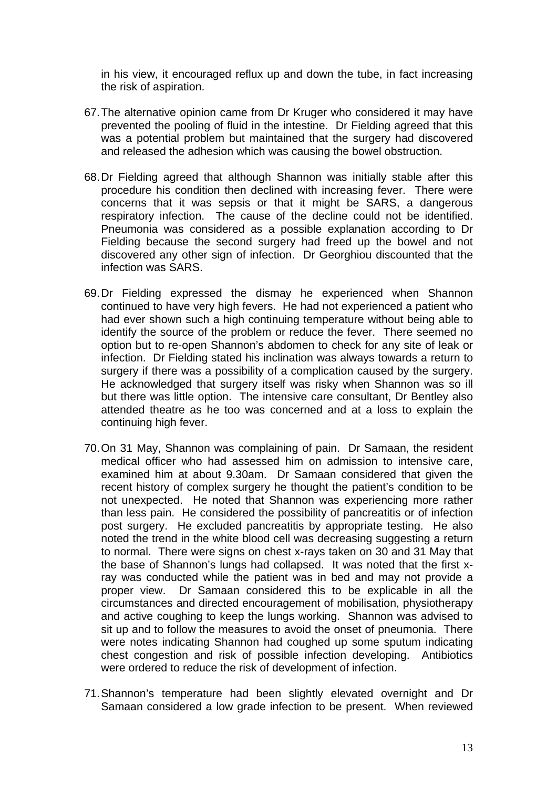in his view, it encouraged reflux up and down the tube, in fact increasing the risk of aspiration.

- 67. The alternative opinion came from Dr Kruger who considered it may have prevented the pooling of fluid in the intestine. Dr Fielding agreed that this was a potential problem but maintained that the surgery had discovered and released the adhesion which was causing the bowel obstruction.
- 68. Dr Fielding agreed that although Shannon was initially stable after this procedure his condition then declined with increasing fever. There were concerns that it was sepsis or that it might be SARS, a dangerous respiratory infection. The cause of the decline could not be identified. Pneumonia was considered as a possible explanation according to Dr Fielding because the second surgery had freed up the bowel and not discovered any other sign of infection. Dr Georghiou discounted that the infection was SARS.
- 69. Dr Fielding expressed the dismay he experienced when Shannon continued to have very high fevers. He had not experienced a patient who had ever shown such a high continuing temperature without being able to identify the source of the problem or reduce the fever. There seemed no option but to re-open Shannon's abdomen to check for any site of leak or infection. Dr Fielding stated his inclination was always towards a return to surgery if there was a possibility of a complication caused by the surgery. He acknowledged that surgery itself was risky when Shannon was so ill but there was little option. The intensive care consultant, Dr Bentley also attended theatre as he too was concerned and at a loss to explain the continuing high fever.
- 70. On 31 May, Shannon was complaining of pain. Dr Samaan, the resident medical officer who had assessed him on admission to intensive care, examined him at about 9.30am. Dr Samaan considered that given the recent history of complex surgery he thought the patient's condition to be not unexpected. He noted that Shannon was experiencing more rather than less pain. He considered the possibility of pancreatitis or of infection post surgery. He excluded pancreatitis by appropriate testing. He also noted the trend in the white blood cell was decreasing suggesting a return to normal. There were signs on chest x-rays taken on 30 and 31 May that the base of Shannon's lungs had collapsed. It was noted that the first xray was conducted while the patient was in bed and may not provide a proper view. Dr Samaan considered this to be explicable in all the circumstances and directed encouragement of mobilisation, physiotherapy and active coughing to keep the lungs working. Shannon was advised to sit up and to follow the measures to avoid the onset of pneumonia. There were notes indicating Shannon had coughed up some sputum indicating chest congestion and risk of possible infection developing. Antibiotics were ordered to reduce the risk of development of infection.
- 71. Shannon's temperature had been slightly elevated overnight and Dr Samaan considered a low grade infection to be present. When reviewed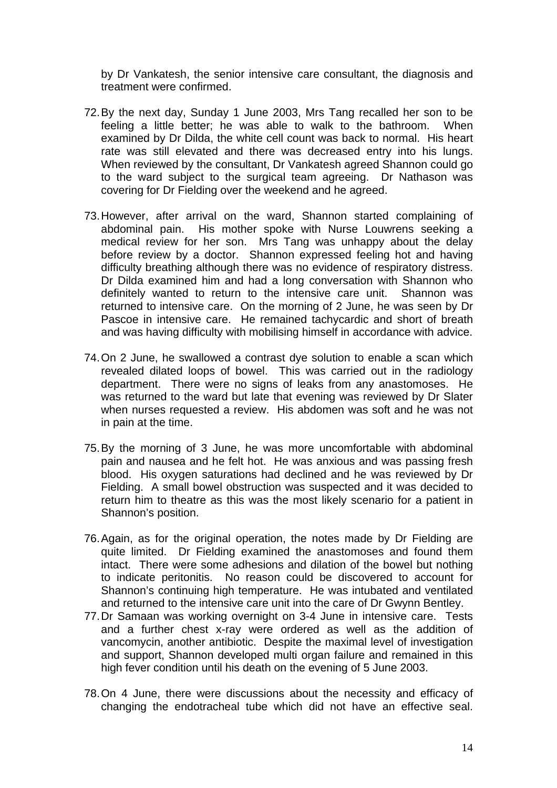by Dr Vankatesh, the senior intensive care consultant, the diagnosis and treatment were confirmed.

- 72. By the next day, Sunday 1 June 2003, Mrs Tang recalled her son to be feeling a little better; he was able to walk to the bathroom. When examined by Dr Dilda, the white cell count was back to normal. His heart rate was still elevated and there was decreased entry into his lungs. When reviewed by the consultant, Dr Vankatesh agreed Shannon could go to the ward subject to the surgical team agreeing. Dr Nathason was covering for Dr Fielding over the weekend and he agreed.
- 73. However, after arrival on the ward, Shannon started complaining of abdominal pain. His mother spoke with Nurse Louwrens seeking a medical review for her son. Mrs Tang was unhappy about the delay before review by a doctor. Shannon expressed feeling hot and having difficulty breathing although there was no evidence of respiratory distress. Dr Dilda examined him and had a long conversation with Shannon who definitely wanted to return to the intensive care unit. Shannon was returned to intensive care. On the morning of 2 June, he was seen by Dr Pascoe in intensive care. He remained tachycardic and short of breath and was having difficulty with mobilising himself in accordance with advice.
- 74. On 2 June, he swallowed a contrast dye solution to enable a scan which revealed dilated loops of bowel. This was carried out in the radiology department. There were no signs of leaks from any anastomoses. He was returned to the ward but late that evening was reviewed by Dr Slater when nurses requested a review. His abdomen was soft and he was not in pain at the time.
- 75. By the morning of 3 June, he was more uncomfortable with abdominal pain and nausea and he felt hot. He was anxious and was passing fresh blood. His oxygen saturations had declined and he was reviewed by Dr Fielding. A small bowel obstruction was suspected and it was decided to return him to theatre as this was the most likely scenario for a patient in Shannon's position.
- 76. Again, as for the original operation, the notes made by Dr Fielding are quite limited. Dr Fielding examined the anastomoses and found them intact. There were some adhesions and dilation of the bowel but nothing to indicate peritonitis. No reason could be discovered to account for Shannon's continuing high temperature. He was intubated and ventilated and returned to the intensive care unit into the care of Dr Gwynn Bentley.
- 77. Dr Samaan was working overnight on 3-4 June in intensive care. Tests and a further chest x-ray were ordered as well as the addition of vancomycin, another antibiotic. Despite the maximal level of investigation and support, Shannon developed multi organ failure and remained in this high fever condition until his death on the evening of 5 June 2003.
- 78. On 4 June, there were discussions about the necessity and efficacy of changing the endotracheal tube which did not have an effective seal.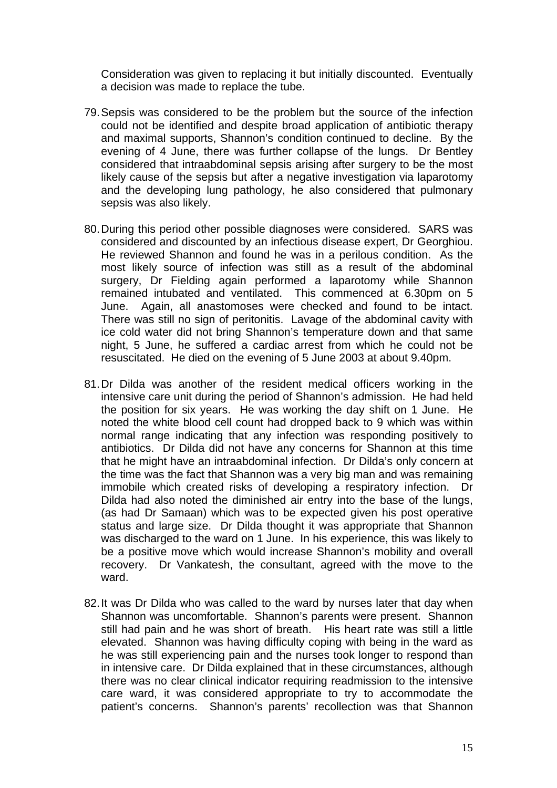Consideration was given to replacing it but initially discounted. Eventually a decision was made to replace the tube.

- 79. Sepsis was considered to be the problem but the source of the infection could not be identified and despite broad application of antibiotic therapy and maximal supports, Shannon's condition continued to decline. By the evening of 4 June, there was further collapse of the lungs. Dr Bentley considered that intraabdominal sepsis arising after surgery to be the most likely cause of the sepsis but after a negative investigation via laparotomy and the developing lung pathology, he also considered that pulmonary sepsis was also likely.
- 80. During this period other possible diagnoses were considered. SARS was considered and discounted by an infectious disease expert, Dr Georghiou. He reviewed Shannon and found he was in a perilous condition. As the most likely source of infection was still as a result of the abdominal surgery, Dr Fielding again performed a laparotomy while Shannon remained intubated and ventilated. This commenced at 6.30pm on 5 June. Again, all anastomoses were checked and found to be intact. There was still no sign of peritonitis. Lavage of the abdominal cavity with ice cold water did not bring Shannon's temperature down and that same night, 5 June, he suffered a cardiac arrest from which he could not be resuscitated. He died on the evening of 5 June 2003 at about 9.40pm.
- 81. Dr Dilda was another of the resident medical officers working in the intensive care unit during the period of Shannon's admission. He had held the position for six years. He was working the day shift on 1 June. He noted the white blood cell count had dropped back to 9 which was within normal range indicating that any infection was responding positively to antibiotics. Dr Dilda did not have any concerns for Shannon at this time that he might have an intraabdominal infection. Dr Dilda's only concern at the time was the fact that Shannon was a very big man and was remaining immobile which created risks of developing a respiratory infection. Dr Dilda had also noted the diminished air entry into the base of the lungs, (as had Dr Samaan) which was to be expected given his post operative status and large size. Dr Dilda thought it was appropriate that Shannon was discharged to the ward on 1 June. In his experience, this was likely to be a positive move which would increase Shannon's mobility and overall recovery. Dr Vankatesh, the consultant, agreed with the move to the ward.
- 82. It was Dr Dilda who was called to the ward by nurses later that day when Shannon was uncomfortable. Shannon's parents were present. Shannon still had pain and he was short of breath. His heart rate was still a little elevated. Shannon was having difficulty coping with being in the ward as he was still experiencing pain and the nurses took longer to respond than in intensive care. Dr Dilda explained that in these circumstances, although there was no clear clinical indicator requiring readmission to the intensive care ward, it was considered appropriate to try to accommodate the patient's concerns. Shannon's parents' recollection was that Shannon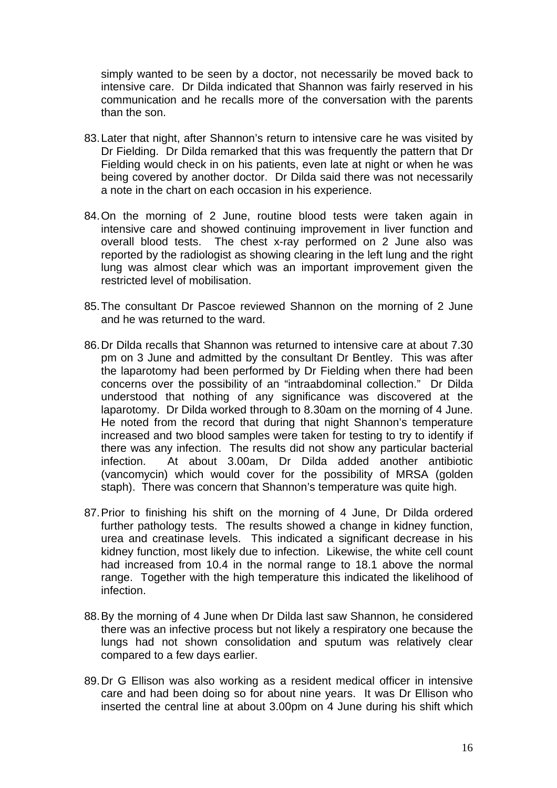simply wanted to be seen by a doctor, not necessarily be moved back to intensive care. Dr Dilda indicated that Shannon was fairly reserved in his communication and he recalls more of the conversation with the parents than the son.

- 83. Later that night, after Shannon's return to intensive care he was visited by Dr Fielding. Dr Dilda remarked that this was frequently the pattern that Dr Fielding would check in on his patients, even late at night or when he was being covered by another doctor. Dr Dilda said there was not necessarily a note in the chart on each occasion in his experience.
- 84. On the morning of 2 June, routine blood tests were taken again in intensive care and showed continuing improvement in liver function and overall blood tests. The chest x-ray performed on 2 June also was reported by the radiologist as showing clearing in the left lung and the right lung was almost clear which was an important improvement given the restricted level of mobilisation.
- 85. The consultant Dr Pascoe reviewed Shannon on the morning of 2 June and he was returned to the ward.
- 86. Dr Dilda recalls that Shannon was returned to intensive care at about 7.30 pm on 3 June and admitted by the consultant Dr Bentley. This was after the laparotomy had been performed by Dr Fielding when there had been concerns over the possibility of an "intraabdominal collection." Dr Dilda understood that nothing of any significance was discovered at the laparotomy. Dr Dilda worked through to 8.30am on the morning of 4 June. He noted from the record that during that night Shannon's temperature increased and two blood samples were taken for testing to try to identify if there was any infection. The results did not show any particular bacterial infection. At about 3.00am, Dr Dilda added another antibiotic (vancomycin) which would cover for the possibility of MRSA (golden staph). There was concern that Shannon's temperature was quite high.
- 87. Prior to finishing his shift on the morning of 4 June, Dr Dilda ordered further pathology tests. The results showed a change in kidney function, urea and creatinase levels. This indicated a significant decrease in his kidney function, most likely due to infection. Likewise, the white cell count had increased from 10.4 in the normal range to 18.1 above the normal range. Together with the high temperature this indicated the likelihood of infection.
- 88. By the morning of 4 June when Dr Dilda last saw Shannon, he considered there was an infective process but not likely a respiratory one because the lungs had not shown consolidation and sputum was relatively clear compared to a few days earlier.
- 89. Dr G Ellison was also working as a resident medical officer in intensive care and had been doing so for about nine years. It was Dr Ellison who inserted the central line at about 3.00pm on 4 June during his shift which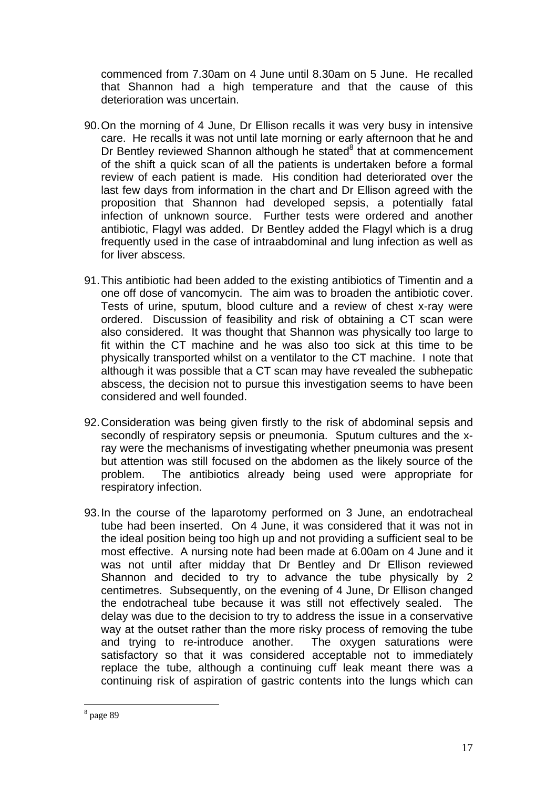commenced from 7.30am on 4 June until 8.30am on 5 June. He recalled that Shannon had a high temperature and that the cause of this deterioration was uncertain.

- 90. On the morning of 4 June, Dr Ellison recalls it was very busy in intensive care. He recalls it was not until late morning or early afternoon that he and Dr Bentley reviewed Shannon although he stated<sup>8</sup> that at commencement of the shift a quick scan of all the patients is undertaken before a formal review of each patient is made. His condition had deteriorated over the last few days from information in the chart and Dr Ellison agreed with the proposition that Shannon had developed sepsis, a potentially fatal infection of unknown source. Further tests were ordered and another antibiotic, Flagyl was added. Dr Bentley added the Flagyl which is a drug frequently used in the case of intraabdominal and lung infection as well as for liver abscess.
- 91. This antibiotic had been added to the existing antibiotics of Timentin and a one off dose of vancomycin. The aim was to broaden the antibiotic cover. Tests of urine, sputum, blood culture and a review of chest x-ray were ordered. Discussion of feasibility and risk of obtaining a CT scan were also considered. It was thought that Shannon was physically too large to fit within the CT machine and he was also too sick at this time to be physically transported whilst on a ventilator to the CT machine. I note that although it was possible that a CT scan may have revealed the subhepatic abscess, the decision not to pursue this investigation seems to have been considered and well founded.
- 92. Consideration was being given firstly to the risk of abdominal sepsis and secondly of respiratory sepsis or pneumonia. Sputum cultures and the xray were the mechanisms of investigating whether pneumonia was present but attention was still focused on the abdomen as the likely source of the problem. The antibiotics already being used were appropriate for respiratory infection.
- 93. In the course of the laparotomy performed on 3 June, an endotracheal tube had been inserted. On 4 June, it was considered that it was not in the ideal position being too high up and not providing a sufficient seal to be most effective. A nursing note had been made at 6.00am on 4 June and it was not until after midday that Dr Bentley and Dr Ellison reviewed Shannon and decided to try to advance the tube physically by 2 centimetres. Subsequently, on the evening of 4 June, Dr Ellison changed the endotracheal tube because it was still not effectively sealed. The delay was due to the decision to try to address the issue in a conservative way at the outset rather than the more risky process of removing the tube and trying to re-introduce another. The oxygen saturations were satisfactory so that it was considered acceptable not to immediately replace the tube, although a continuing cuff leak meant there was a continuing risk of aspiration of gastric contents into the lungs which can

<sup>8</sup> page 89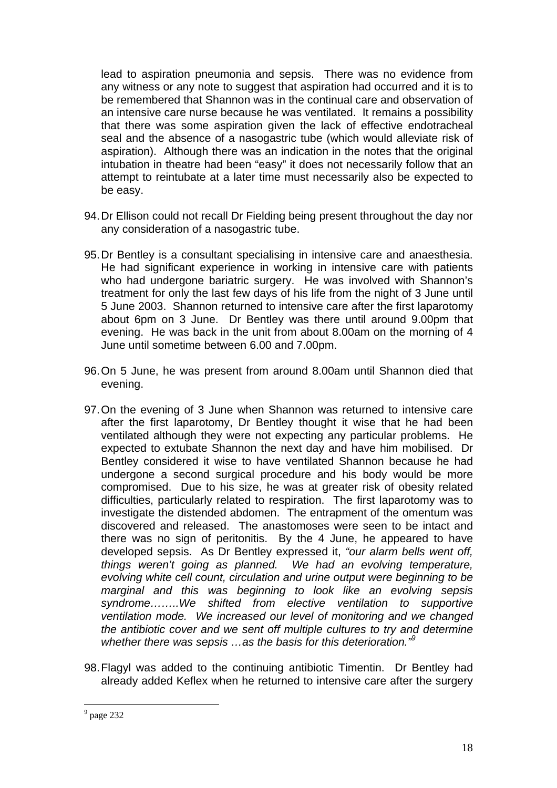lead to aspiration pneumonia and sepsis. There was no evidence from any witness or any note to suggest that aspiration had occurred and it is to be remembered that Shannon was in the continual care and observation of an intensive care nurse because he was ventilated. It remains a possibility that there was some aspiration given the lack of effective endotracheal seal and the absence of a nasogastric tube (which would alleviate risk of aspiration). Although there was an indication in the notes that the original intubation in theatre had been "easy" it does not necessarily follow that an attempt to reintubate at a later time must necessarily also be expected to be easy.

- 94. Dr Ellison could not recall Dr Fielding being present throughout the day nor any consideration of a nasogastric tube.
- 95. Dr Bentley is a consultant specialising in intensive care and anaesthesia. He had significant experience in working in intensive care with patients who had undergone bariatric surgery. He was involved with Shannon's treatment for only the last few days of his life from the night of 3 June until 5 June 2003. Shannon returned to intensive care after the first laparotomy about 6pm on 3 June. Dr Bentley was there until around 9.00pm that evening. He was back in the unit from about 8.00am on the morning of 4 June until sometime between 6.00 and 7.00pm.
- 96. On 5 June, he was present from around 8.00am until Shannon died that evening.
- 97. On the evening of 3 June when Shannon was returned to intensive care after the first laparotomy, Dr Bentley thought it wise that he had been ventilated although they were not expecting any particular problems. He expected to extubate Shannon the next day and have him mobilised. Dr Bentley considered it wise to have ventilated Shannon because he had undergone a second surgical procedure and his body would be more compromised. Due to his size, he was at greater risk of obesity related difficulties, particularly related to respiration. The first laparotomy was to investigate the distended abdomen. The entrapment of the omentum was discovered and released. The anastomoses were seen to be intact and there was no sign of peritonitis. By the 4 June, he appeared to have developed sepsis. As Dr Bentley expressed it, *"our alarm bells went off, things weren't going as planned. We had an evolving temperature, evolving white cell count, circulation and urine output were beginning to be marginal and this was beginning to look like an evolving sepsis syndrome……..We shifted from elective ventilation to supportive ventilation mode. We increased our level of monitoring and we changed the antibiotic cover and we sent off multiple cultures to try and determine whether there was sepsis …as the basis for this deterioration."9*
- 98. Flagyl was added to the continuing antibiotic Timentin. Dr Bentley had already added Keflex when he returned to intensive care after the surgery

 $9$  page 232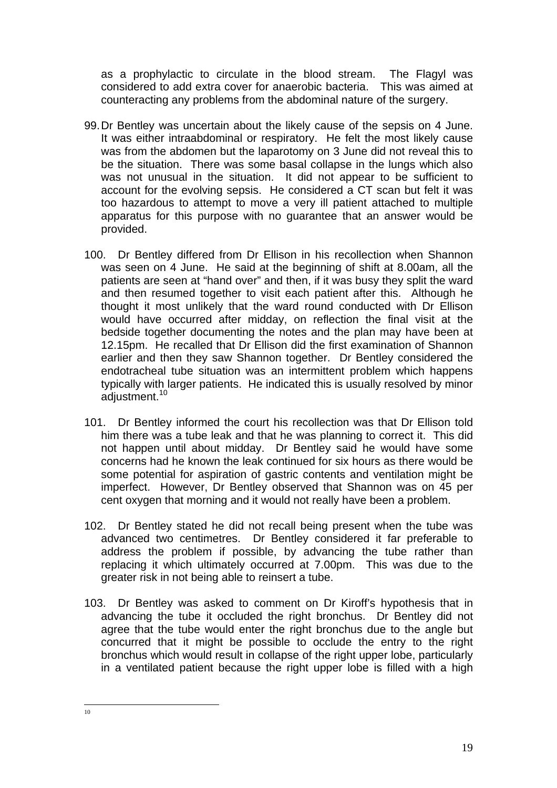as a prophylactic to circulate in the blood stream. The Flagyl was considered to add extra cover for anaerobic bacteria. This was aimed at counteracting any problems from the abdominal nature of the surgery.

- 99. Dr Bentley was uncertain about the likely cause of the sepsis on 4 June. It was either intraabdominal or respiratory. He felt the most likely cause was from the abdomen but the laparotomy on 3 June did not reveal this to be the situation. There was some basal collapse in the lungs which also was not unusual in the situation. It did not appear to be sufficient to account for the evolving sepsis. He considered a CT scan but felt it was too hazardous to attempt to move a very ill patient attached to multiple apparatus for this purpose with no guarantee that an answer would be provided.
- 100. Dr Bentley differed from Dr Ellison in his recollection when Shannon was seen on 4 June. He said at the beginning of shift at 8.00am, all the patients are seen at "hand over" and then, if it was busy they split the ward and then resumed together to visit each patient after this. Although he thought it most unlikely that the ward round conducted with Dr Ellison would have occurred after midday, on reflection the final visit at the bedside together documenting the notes and the plan may have been at 12.15pm. He recalled that Dr Ellison did the first examination of Shannon earlier and then they saw Shannon together. Dr Bentley considered the endotracheal tube situation was an intermittent problem which happens typically with larger patients. He indicated this is usually resolved by minor adjustment.<sup>10</sup>
- 101. Dr Bentley informed the court his recollection was that Dr Ellison told him there was a tube leak and that he was planning to correct it. This did not happen until about midday. Dr Bentley said he would have some concerns had he known the leak continued for six hours as there would be some potential for aspiration of gastric contents and ventilation might be imperfect. However, Dr Bentley observed that Shannon was on 45 per cent oxygen that morning and it would not really have been a problem.
- 102. Dr Bentley stated he did not recall being present when the tube was advanced two centimetres. Dr Bentley considered it far preferable to address the problem if possible, by advancing the tube rather than replacing it which ultimately occurred at 7.00pm. This was due to the greater risk in not being able to reinsert a tube.
- 103. Dr Bentley was asked to comment on Dr Kiroff's hypothesis that in advancing the tube it occluded the right bronchus. Dr Bentley did not agree that the tube would enter the right bronchus due to the angle but concurred that it might be possible to occlude the entry to the right bronchus which would result in collapse of the right upper lobe, particularly in a ventilated patient because the right upper lobe is filled with a high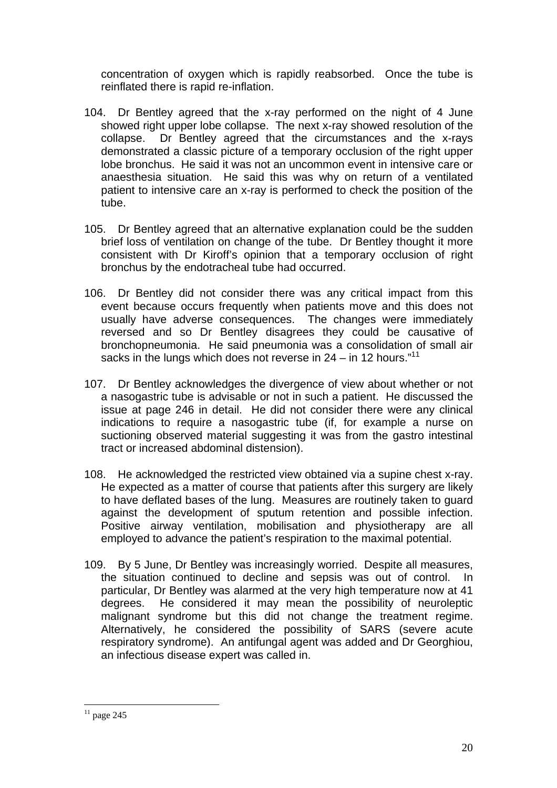concentration of oxygen which is rapidly reabsorbed. Once the tube is reinflated there is rapid re-inflation.

- 104. Dr Bentley agreed that the x-ray performed on the night of 4 June showed right upper lobe collapse. The next x-ray showed resolution of the collapse. Dr Bentley agreed that the circumstances and the x-rays demonstrated a classic picture of a temporary occlusion of the right upper lobe bronchus. He said it was not an uncommon event in intensive care or anaesthesia situation. He said this was why on return of a ventilated patient to intensive care an x-ray is performed to check the position of the tube.
- 105. Dr Bentley agreed that an alternative explanation could be the sudden brief loss of ventilation on change of the tube. Dr Bentley thought it more consistent with Dr Kiroff's opinion that a temporary occlusion of right bronchus by the endotracheal tube had occurred.
- 106. Dr Bentley did not consider there was any critical impact from this event because occurs frequently when patients move and this does not usually have adverse consequences. The changes were immediately reversed and so Dr Bentley disagrees they could be causative of bronchopneumonia. He said pneumonia was a consolidation of small air sacks in the lungs which does not reverse in  $24 - in 12$  hours."<sup>11</sup>
- 107. Dr Bentley acknowledges the divergence of view about whether or not a nasogastric tube is advisable or not in such a patient. He discussed the issue at page 246 in detail. He did not consider there were any clinical indications to require a nasogastric tube (if, for example a nurse on suctioning observed material suggesting it was from the gastro intestinal tract or increased abdominal distension).
- 108. He acknowledged the restricted view obtained via a supine chest x-ray. He expected as a matter of course that patients after this surgery are likely to have deflated bases of the lung. Measures are routinely taken to guard against the development of sputum retention and possible infection. Positive airway ventilation, mobilisation and physiotherapy are all employed to advance the patient's respiration to the maximal potential.
- 109. By 5 June, Dr Bentley was increasingly worried. Despite all measures, the situation continued to decline and sepsis was out of control. In particular, Dr Bentley was alarmed at the very high temperature now at 41 degrees. He considered it may mean the possibility of neuroleptic malignant syndrome but this did not change the treatment regime. Alternatively, he considered the possibility of SARS (severe acute respiratory syndrome). An antifungal agent was added and Dr Georghiou, an infectious disease expert was called in.

 $\overline{a}$  $11$  page 245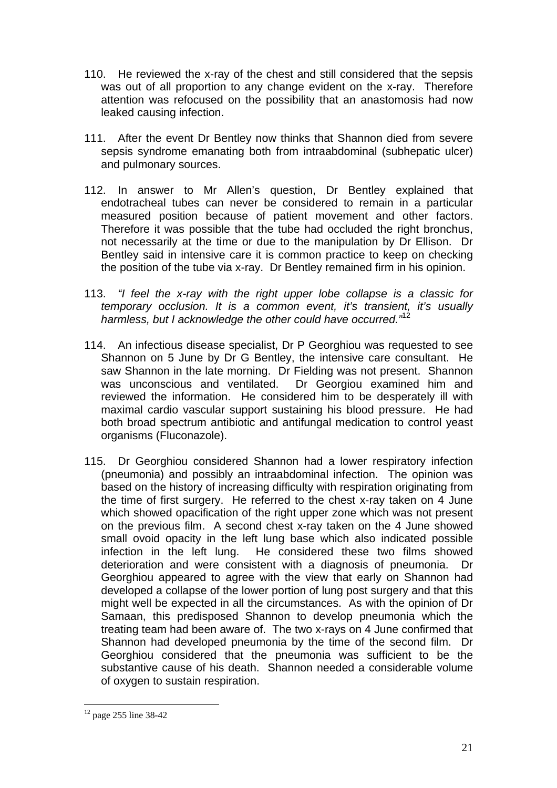- 110. He reviewed the x-ray of the chest and still considered that the sepsis was out of all proportion to any change evident on the x-ray. Therefore attention was refocused on the possibility that an anastomosis had now leaked causing infection.
- 111. After the event Dr Bentley now thinks that Shannon died from severe sepsis syndrome emanating both from intraabdominal (subhepatic ulcer) and pulmonary sources.
- 112. In answer to Mr Allen's question, Dr Bentley explained that endotracheal tubes can never be considered to remain in a particular measured position because of patient movement and other factors. Therefore it was possible that the tube had occluded the right bronchus, not necessarily at the time or due to the manipulation by Dr Ellison. Dr Bentley said in intensive care it is common practice to keep on checking the position of the tube via x-ray. Dr Bentley remained firm in his opinion.
- 113. *"I feel the x-ray with the right upper lobe collapse is a classic for temporary occlusion. It is a common event, it's transient, it's usually harmless, but I acknowledge the other could have occurred."*<sup>12</sup>
- 114. An infectious disease specialist, Dr P Georghiou was requested to see Shannon on 5 June by Dr G Bentley, the intensive care consultant. He saw Shannon in the late morning. Dr Fielding was not present. Shannon was unconscious and ventilated. Dr Georgiou examined him and reviewed the information. He considered him to be desperately ill with maximal cardio vascular support sustaining his blood pressure. He had both broad spectrum antibiotic and antifungal medication to control yeast organisms (Fluconazole).
- 115. Dr Georghiou considered Shannon had a lower respiratory infection (pneumonia) and possibly an intraabdominal infection. The opinion was based on the history of increasing difficulty with respiration originating from the time of first surgery. He referred to the chest x-ray taken on 4 June which showed opacification of the right upper zone which was not present on the previous film. A second chest x-ray taken on the 4 June showed small ovoid opacity in the left lung base which also indicated possible infection in the left lung. He considered these two films showed deterioration and were consistent with a diagnosis of pneumonia. Dr Georghiou appeared to agree with the view that early on Shannon had developed a collapse of the lower portion of lung post surgery and that this might well be expected in all the circumstances. As with the opinion of Dr Samaan, this predisposed Shannon to develop pneumonia which the treating team had been aware of. The two x-rays on 4 June confirmed that Shannon had developed pneumonia by the time of the second film. Dr Georghiou considered that the pneumonia was sufficient to be the substantive cause of his death. Shannon needed a considerable volume of oxygen to sustain respiration.

 $12$  page 255 line 38-42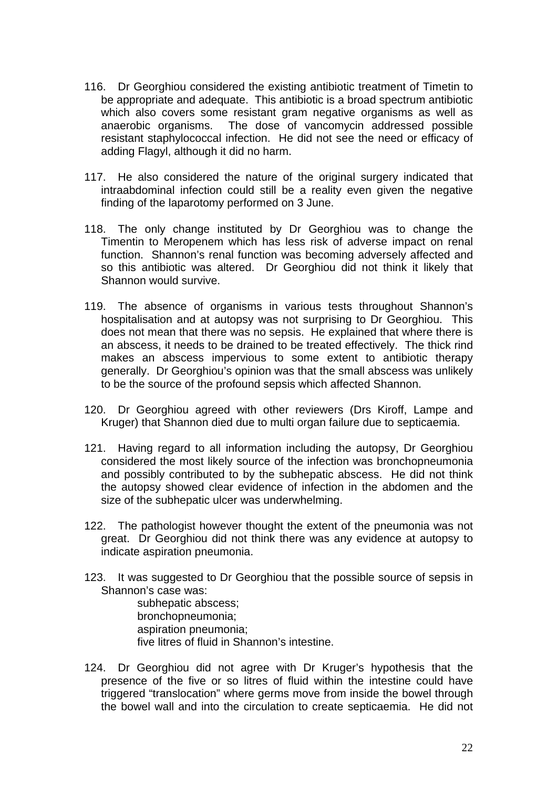- 116. Dr Georghiou considered the existing antibiotic treatment of Timetin to be appropriate and adequate. This antibiotic is a broad spectrum antibiotic which also covers some resistant gram negative organisms as well as anaerobic organisms. The dose of vancomycin addressed possible resistant staphylococcal infection. He did not see the need or efficacy of adding Flagyl, although it did no harm.
- 117. He also considered the nature of the original surgery indicated that intraabdominal infection could still be a reality even given the negative finding of the laparotomy performed on 3 June.
- 118. The only change instituted by Dr Georghiou was to change the Timentin to Meropenem which has less risk of adverse impact on renal function. Shannon's renal function was becoming adversely affected and so this antibiotic was altered. Dr Georghiou did not think it likely that Shannon would survive.
- 119. The absence of organisms in various tests throughout Shannon's hospitalisation and at autopsy was not surprising to Dr Georghiou. This does not mean that there was no sepsis. He explained that where there is an abscess, it needs to be drained to be treated effectively. The thick rind makes an abscess impervious to some extent to antibiotic therapy generally. Dr Georghiou's opinion was that the small abscess was unlikely to be the source of the profound sepsis which affected Shannon.
- 120. Dr Georghiou agreed with other reviewers (Drs Kiroff, Lampe and Kruger) that Shannon died due to multi organ failure due to septicaemia.
- 121. Having regard to all information including the autopsy, Dr Georghiou considered the most likely source of the infection was bronchopneumonia and possibly contributed to by the subhepatic abscess. He did not think the autopsy showed clear evidence of infection in the abdomen and the size of the subhepatic ulcer was underwhelming.
- 122. The pathologist however thought the extent of the pneumonia was not great. Dr Georghiou did not think there was any evidence at autopsy to indicate aspiration pneumonia.
- 123. It was suggested to Dr Georghiou that the possible source of sepsis in Shannon's case was:

subhepatic abscess; bronchopneumonia; aspiration pneumonia; five litres of fluid in Shannon's intestine.

124. Dr Georghiou did not agree with Dr Kruger's hypothesis that the presence of the five or so litres of fluid within the intestine could have triggered "translocation" where germs move from inside the bowel through the bowel wall and into the circulation to create septicaemia. He did not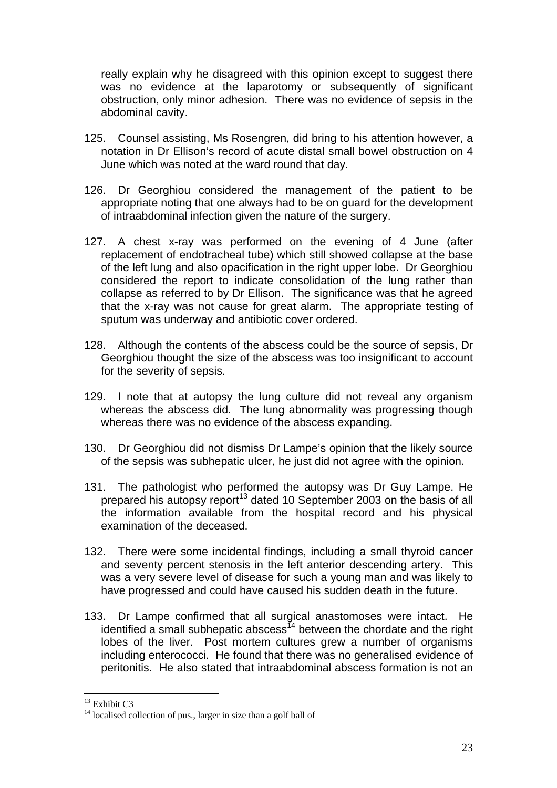really explain why he disagreed with this opinion except to suggest there was no evidence at the laparotomy or subsequently of significant obstruction, only minor adhesion. There was no evidence of sepsis in the abdominal cavity.

- 125. Counsel assisting, Ms Rosengren, did bring to his attention however, a notation in Dr Ellison's record of acute distal small bowel obstruction on 4 June which was noted at the ward round that day.
- 126. Dr Georghiou considered the management of the patient to be appropriate noting that one always had to be on guard for the development of intraabdominal infection given the nature of the surgery.
- 127. A chest x-ray was performed on the evening of 4 June (after replacement of endotracheal tube) which still showed collapse at the base of the left lung and also opacification in the right upper lobe. Dr Georghiou considered the report to indicate consolidation of the lung rather than collapse as referred to by Dr Ellison. The significance was that he agreed that the x-ray was not cause for great alarm. The appropriate testing of sputum was underway and antibiotic cover ordered.
- 128. Although the contents of the abscess could be the source of sepsis, Dr Georghiou thought the size of the abscess was too insignificant to account for the severity of sepsis.
- 129. I note that at autopsy the lung culture did not reveal any organism whereas the abscess did. The lung abnormality was progressing though whereas there was no evidence of the abscess expanding.
- 130. Dr Georghiou did not dismiss Dr Lampe's opinion that the likely source of the sepsis was subhepatic ulcer, he just did not agree with the opinion.
- 131. The pathologist who performed the autopsy was Dr Guy Lampe. He prepared his autopsy report<sup>13</sup> dated 10 September 2003 on the basis of all the information available from the hospital record and his physical examination of the deceased.
- 132. There were some incidental findings, including a small thyroid cancer and seventy percent stenosis in the left anterior descending artery. This was a very severe level of disease for such a young man and was likely to have progressed and could have caused his sudden death in the future.
- 133. Dr Lampe confirmed that all surgical anastomoses were intact. He identified a small subhepatic abscess<sup>14</sup> between the chordate and the right lobes of the liver. Post mortem cultures grew a number of organisms including enterococci. He found that there was no generalised evidence of peritonitis. He also stated that intraabdominal abscess formation is not an

 $13$  Exhibit C3

 $14$  localised collection of pus., larger in size than a golf ball of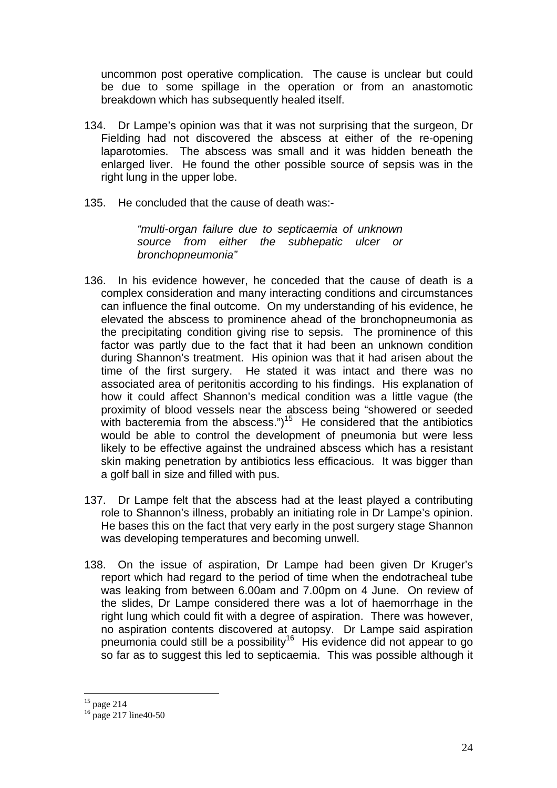uncommon post operative complication. The cause is unclear but could be due to some spillage in the operation or from an anastomotic breakdown which has subsequently healed itself.

- 134. Dr Lampe's opinion was that it was not surprising that the surgeon, Dr Fielding had not discovered the abscess at either of the re-opening laparotomies. The abscess was small and it was hidden beneath the enlarged liver. He found the other possible source of sepsis was in the right lung in the upper lobe.
- 135. He concluded that the cause of death was:-

*"multi-organ failure due to septicaemia of unknown source from either the subhepatic ulcer or bronchopneumonia"* 

- 136. In his evidence however, he conceded that the cause of death is a complex consideration and many interacting conditions and circumstances can influence the final outcome. On my understanding of his evidence, he elevated the abscess to prominence ahead of the bronchopneumonia as the precipitating condition giving rise to sepsis. The prominence of this factor was partly due to the fact that it had been an unknown condition during Shannon's treatment. His opinion was that it had arisen about the time of the first surgery. He stated it was intact and there was no associated area of peritonitis according to his findings. His explanation of how it could affect Shannon's medical condition was a little vague (the proximity of blood vessels near the abscess being "showered or seeded with bacteremia from the abscess.")<sup>15</sup> He considered that the antibiotics would be able to control the development of pneumonia but were less likely to be effective against the undrained abscess which has a resistant skin making penetration by antibiotics less efficacious. It was bigger than a golf ball in size and filled with pus.
- 137. Dr Lampe felt that the abscess had at the least played a contributing role to Shannon's illness, probably an initiating role in Dr Lampe's opinion. He bases this on the fact that very early in the post surgery stage Shannon was developing temperatures and becoming unwell.
- 138. On the issue of aspiration, Dr Lampe had been given Dr Kruger's report which had regard to the period of time when the endotracheal tube was leaking from between 6.00am and 7.00pm on 4 June. On review of the slides, Dr Lampe considered there was a lot of haemorrhage in the right lung which could fit with a degree of aspiration. There was however, no aspiration contents discovered at autopsy. Dr Lampe said aspiration pneumonia could still be a possibility<sup>16</sup> His evidence did not appear to go so far as to suggest this led to septicaemia. This was possible although it

 $15$  page 214

 $16 \text{ page } 217 \text{ line}40\text{-}50$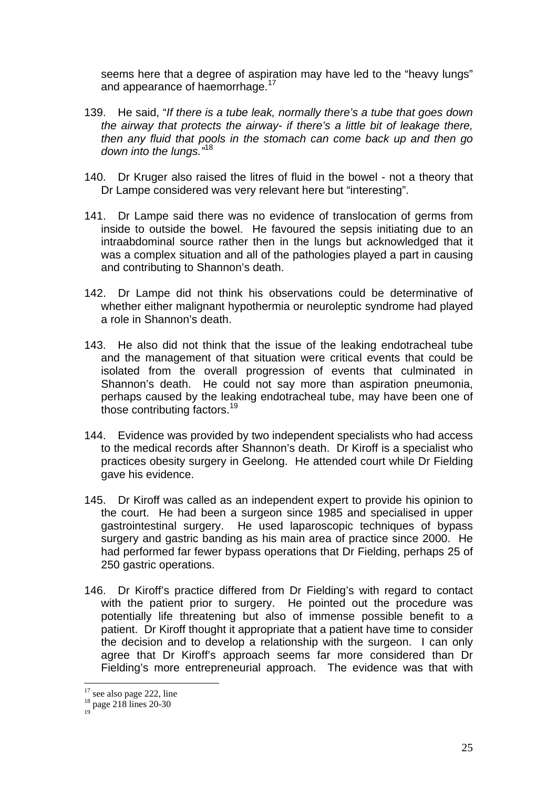seems here that a degree of aspiration may have led to the "heavy lungs" and appearance of haemorrhage.<sup>17</sup>

- 139. He said, "*If there is a tube leak, normally there's a tube that goes down the airway that protects the airway- if there's a little bit of leakage there, then any fluid that pools in the stomach can come back up and then go down into the lungs."*<sup>18</sup>
- 140. Dr Kruger also raised the litres of fluid in the bowel not a theory that Dr Lampe considered was very relevant here but "interesting".
- 141. Dr Lampe said there was no evidence of translocation of germs from inside to outside the bowel. He favoured the sepsis initiating due to an intraabdominal source rather then in the lungs but acknowledged that it was a complex situation and all of the pathologies played a part in causing and contributing to Shannon's death.
- 142. Dr Lampe did not think his observations could be determinative of whether either malignant hypothermia or neuroleptic syndrome had played a role in Shannon's death.
- 143. He also did not think that the issue of the leaking endotracheal tube and the management of that situation were critical events that could be isolated from the overall progression of events that culminated in Shannon's death. He could not say more than aspiration pneumonia, perhaps caused by the leaking endotracheal tube, may have been one of those contributing factors.19
- 144. Evidence was provided by two independent specialists who had access to the medical records after Shannon's death. Dr Kiroff is a specialist who practices obesity surgery in Geelong. He attended court while Dr Fielding gave his evidence.
- 145. Dr Kiroff was called as an independent expert to provide his opinion to the court. He had been a surgeon since 1985 and specialised in upper gastrointestinal surgery. He used laparoscopic techniques of bypass surgery and gastric banding as his main area of practice since 2000. He had performed far fewer bypass operations that Dr Fielding, perhaps 25 of 250 gastric operations.
- 146. Dr Kiroff's practice differed from Dr Fielding's with regard to contact with the patient prior to surgery. He pointed out the procedure was potentially life threatening but also of immense possible benefit to a patient. Dr Kiroff thought it appropriate that a patient have time to consider the decision and to develop a relationship with the surgeon. I can only agree that Dr Kiroff's approach seems far more considered than Dr Fielding's more entrepreneurial approach. The evidence was that with

 $\overline{a}$ 

19

<sup>&</sup>lt;sup>17</sup> see also page 222, line <sup>18</sup> page 218 lines 20-30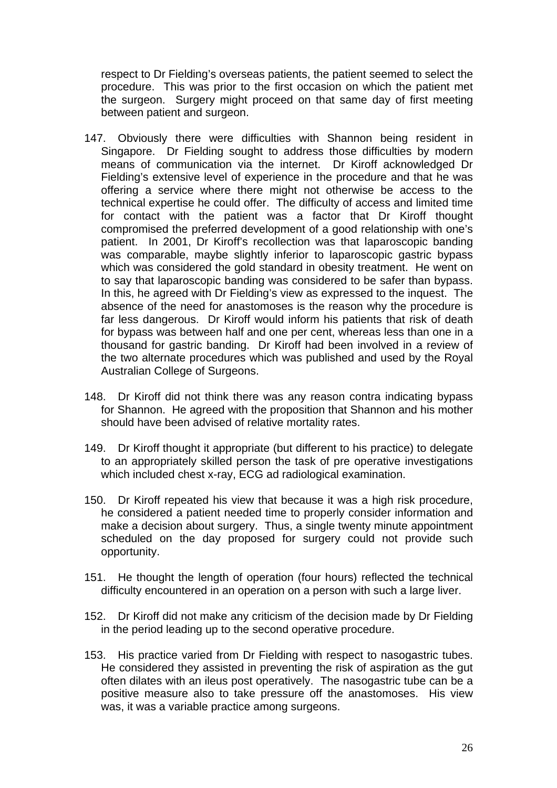respect to Dr Fielding's overseas patients, the patient seemed to select the procedure. This was prior to the first occasion on which the patient met the surgeon. Surgery might proceed on that same day of first meeting between patient and surgeon.

- 147. Obviously there were difficulties with Shannon being resident in Singapore. Dr Fielding sought to address those difficulties by modern means of communication via the internet. Dr Kiroff acknowledged Dr Fielding's extensive level of experience in the procedure and that he was offering a service where there might not otherwise be access to the technical expertise he could offer. The difficulty of access and limited time for contact with the patient was a factor that Dr Kiroff thought compromised the preferred development of a good relationship with one's patient. In 2001, Dr Kiroff's recollection was that laparoscopic banding was comparable, maybe slightly inferior to laparoscopic gastric bypass which was considered the gold standard in obesity treatment. He went on to say that laparoscopic banding was considered to be safer than bypass. In this, he agreed with Dr Fielding's view as expressed to the inquest. The absence of the need for anastomoses is the reason why the procedure is far less dangerous. Dr Kiroff would inform his patients that risk of death for bypass was between half and one per cent, whereas less than one in a thousand for gastric banding. Dr Kiroff had been involved in a review of the two alternate procedures which was published and used by the Royal Australian College of Surgeons.
- 148. Dr Kiroff did not think there was any reason contra indicating bypass for Shannon. He agreed with the proposition that Shannon and his mother should have been advised of relative mortality rates.
- 149. Dr Kiroff thought it appropriate (but different to his practice) to delegate to an appropriately skilled person the task of pre operative investigations which included chest x-ray, ECG ad radiological examination.
- 150. Dr Kiroff repeated his view that because it was a high risk procedure, he considered a patient needed time to properly consider information and make a decision about surgery. Thus, a single twenty minute appointment scheduled on the day proposed for surgery could not provide such opportunity.
- 151. He thought the length of operation (four hours) reflected the technical difficulty encountered in an operation on a person with such a large liver.
- 152. Dr Kiroff did not make any criticism of the decision made by Dr Fielding in the period leading up to the second operative procedure.
- 153. His practice varied from Dr Fielding with respect to nasogastric tubes. He considered they assisted in preventing the risk of aspiration as the gut often dilates with an ileus post operatively. The nasogastric tube can be a positive measure also to take pressure off the anastomoses. His view was, it was a variable practice among surgeons.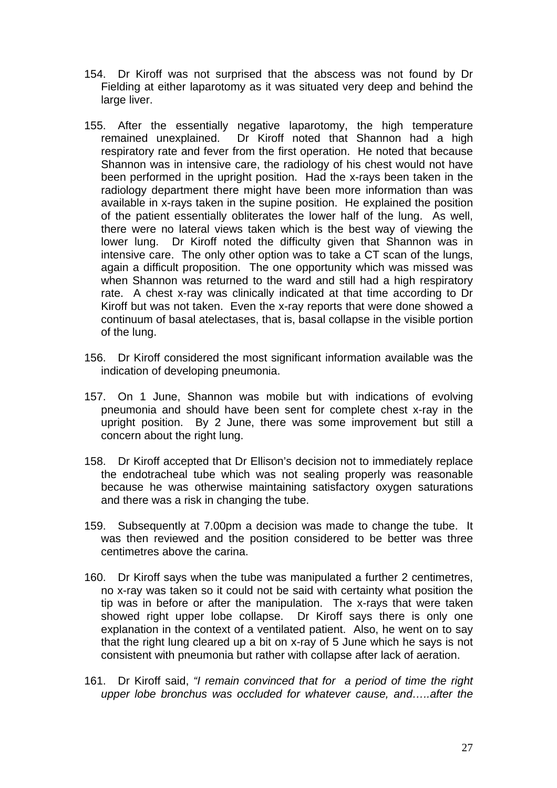- 154. Dr Kiroff was not surprised that the abscess was not found by Dr Fielding at either laparotomy as it was situated very deep and behind the large liver.
- 155. After the essentially negative laparotomy, the high temperature remained unexplained. Dr Kiroff noted that Shannon had a high respiratory rate and fever from the first operation. He noted that because Shannon was in intensive care, the radiology of his chest would not have been performed in the upright position. Had the x-rays been taken in the radiology department there might have been more information than was available in x-rays taken in the supine position. He explained the position of the patient essentially obliterates the lower half of the lung. As well, there were no lateral views taken which is the best way of viewing the lower lung. Dr Kiroff noted the difficulty given that Shannon was in intensive care. The only other option was to take a CT scan of the lungs, again a difficult proposition. The one opportunity which was missed was when Shannon was returned to the ward and still had a high respiratory rate. A chest x-ray was clinically indicated at that time according to Dr Kiroff but was not taken. Even the x-ray reports that were done showed a continuum of basal atelectases, that is, basal collapse in the visible portion of the lung.
- 156. Dr Kiroff considered the most significant information available was the indication of developing pneumonia.
- 157. On 1 June, Shannon was mobile but with indications of evolving pneumonia and should have been sent for complete chest x-ray in the upright position. By 2 June, there was some improvement but still a concern about the right lung.
- 158. Dr Kiroff accepted that Dr Ellison's decision not to immediately replace the endotracheal tube which was not sealing properly was reasonable because he was otherwise maintaining satisfactory oxygen saturations and there was a risk in changing the tube.
- 159. Subsequently at 7.00pm a decision was made to change the tube. It was then reviewed and the position considered to be better was three centimetres above the carina.
- 160. Dr Kiroff says when the tube was manipulated a further 2 centimetres, no x-ray was taken so it could not be said with certainty what position the tip was in before or after the manipulation. The x-rays that were taken showed right upper lobe collapse. Dr Kiroff says there is only one explanation in the context of a ventilated patient. Also, he went on to say that the right lung cleared up a bit on x-ray of 5 June which he says is not consistent with pneumonia but rather with collapse after lack of aeration.
- 161. Dr Kiroff said, *"I remain convinced that for a period of time the right upper lobe bronchus was occluded for whatever cause, and…..after the*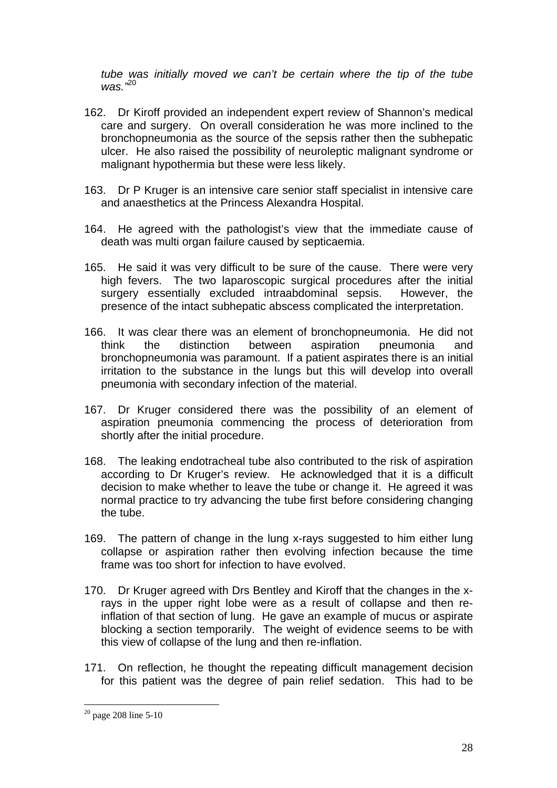*tube was initially moved we can't be certain where the tip of the tube was."*<sup>20</sup>

- 162. Dr Kiroff provided an independent expert review of Shannon's medical care and surgery. On overall consideration he was more inclined to the bronchopneumonia as the source of the sepsis rather then the subhepatic ulcer. He also raised the possibility of neuroleptic malignant syndrome or malignant hypothermia but these were less likely.
- 163. Dr P Kruger is an intensive care senior staff specialist in intensive care and anaesthetics at the Princess Alexandra Hospital.
- 164. He agreed with the pathologist's view that the immediate cause of death was multi organ failure caused by septicaemia.
- 165. He said it was very difficult to be sure of the cause. There were very high fevers. The two laparoscopic surgical procedures after the initial surgery essentially excluded intraabdominal sepsis. However, the presence of the intact subhepatic abscess complicated the interpretation.
- 166. It was clear there was an element of bronchopneumonia. He did not think the distinction between aspiration pneumonia and bronchopneumonia was paramount. If a patient aspirates there is an initial irritation to the substance in the lungs but this will develop into overall pneumonia with secondary infection of the material.
- 167. Dr Kruger considered there was the possibility of an element of aspiration pneumonia commencing the process of deterioration from shortly after the initial procedure.
- 168. The leaking endotracheal tube also contributed to the risk of aspiration according to Dr Kruger's review. He acknowledged that it is a difficult decision to make whether to leave the tube or change it. He agreed it was normal practice to try advancing the tube first before considering changing the tube.
- 169. The pattern of change in the lung x-rays suggested to him either lung collapse or aspiration rather then evolving infection because the time frame was too short for infection to have evolved.
- 170. Dr Kruger agreed with Drs Bentley and Kiroff that the changes in the xrays in the upper right lobe were as a result of collapse and then reinflation of that section of lung. He gave an example of mucus or aspirate blocking a section temporarily. The weight of evidence seems to be with this view of collapse of the lung and then re-inflation.
- 171. On reflection, he thought the repeating difficult management decision for this patient was the degree of pain relief sedation. This had to be

 $20$  page 208 line 5-10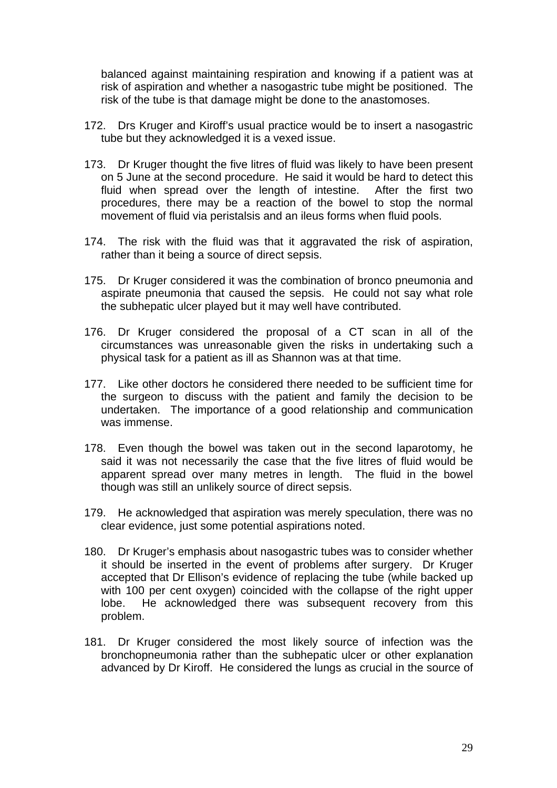balanced against maintaining respiration and knowing if a patient was at risk of aspiration and whether a nasogastric tube might be positioned. The risk of the tube is that damage might be done to the anastomoses.

- 172. Drs Kruger and Kiroff's usual practice would be to insert a nasogastric tube but they acknowledged it is a vexed issue.
- 173. Dr Kruger thought the five litres of fluid was likely to have been present on 5 June at the second procedure. He said it would be hard to detect this fluid when spread over the length of intestine. After the first two procedures, there may be a reaction of the bowel to stop the normal movement of fluid via peristalsis and an ileus forms when fluid pools.
- 174. The risk with the fluid was that it aggravated the risk of aspiration, rather than it being a source of direct sepsis.
- 175. Dr Kruger considered it was the combination of bronco pneumonia and aspirate pneumonia that caused the sepsis. He could not say what role the subhepatic ulcer played but it may well have contributed.
- 176. Dr Kruger considered the proposal of a CT scan in all of the circumstances was unreasonable given the risks in undertaking such a physical task for a patient as ill as Shannon was at that time.
- 177. Like other doctors he considered there needed to be sufficient time for the surgeon to discuss with the patient and family the decision to be undertaken. The importance of a good relationship and communication was immense.
- 178. Even though the bowel was taken out in the second laparotomy, he said it was not necessarily the case that the five litres of fluid would be apparent spread over many metres in length. The fluid in the bowel though was still an unlikely source of direct sepsis.
- 179. He acknowledged that aspiration was merely speculation, there was no clear evidence, just some potential aspirations noted.
- 180. Dr Kruger's emphasis about nasogastric tubes was to consider whether it should be inserted in the event of problems after surgery. Dr Kruger accepted that Dr Ellison's evidence of replacing the tube (while backed up with 100 per cent oxygen) coincided with the collapse of the right upper lobe. He acknowledged there was subsequent recovery from this problem.
- 181. Dr Kruger considered the most likely source of infection was the bronchopneumonia rather than the subhepatic ulcer or other explanation advanced by Dr Kiroff. He considered the lungs as crucial in the source of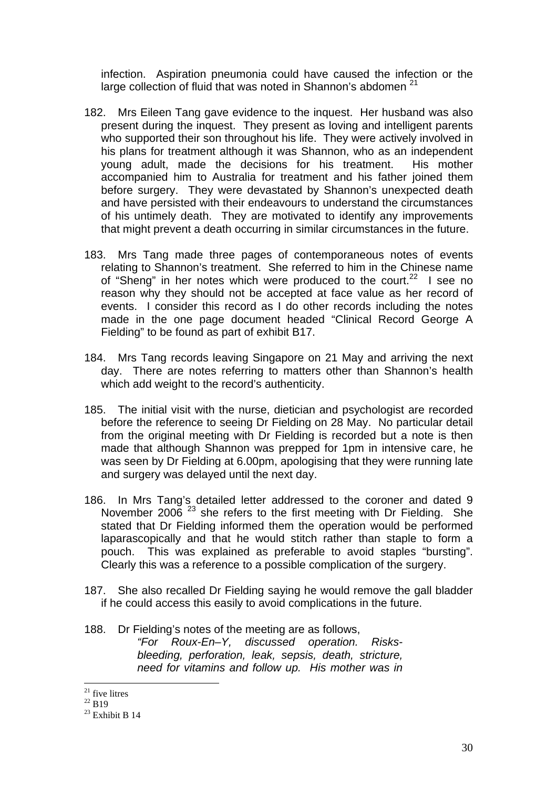infection. Aspiration pneumonia could have caused the infection or the large collection of fluid that was noted in Shannon's abdomen<sup>21</sup>

- 182. Mrs Eileen Tang gave evidence to the inquest. Her husband was also present during the inquest. They present as loving and intelligent parents who supported their son throughout his life. They were actively involved in his plans for treatment although it was Shannon, who as an independent young adult, made the decisions for his treatment. His mother accompanied him to Australia for treatment and his father joined them before surgery. They were devastated by Shannon's unexpected death and have persisted with their endeavours to understand the circumstances of his untimely death. They are motivated to identify any improvements that might prevent a death occurring in similar circumstances in the future.
- 183. Mrs Tang made three pages of contemporaneous notes of events relating to Shannon's treatment. She referred to him in the Chinese name of "Sheng" in her notes which were produced to the court.<sup>22</sup> I see no reason why they should not be accepted at face value as her record of events. I consider this record as I do other records including the notes made in the one page document headed "Clinical Record George A Fielding" to be found as part of exhibit B17.
- 184. Mrs Tang records leaving Singapore on 21 May and arriving the next day. There are notes referring to matters other than Shannon's health which add weight to the record's authenticity.
- 185. The initial visit with the nurse, dietician and psychologist are recorded before the reference to seeing Dr Fielding on 28 May. No particular detail from the original meeting with Dr Fielding is recorded but a note is then made that although Shannon was prepped for 1pm in intensive care, he was seen by Dr Fielding at 6.00pm, apologising that they were running late and surgery was delayed until the next day.
- 186. In Mrs Tang's detailed letter addressed to the coroner and dated 9 November 2006<sup>23</sup> she refers to the first meeting with Dr Fielding. She stated that Dr Fielding informed them the operation would be performed laparascopically and that he would stitch rather than staple to form a pouch. This was explained as preferable to avoid staples "bursting". Clearly this was a reference to a possible complication of the surgery.
- 187. She also recalled Dr Fielding saying he would remove the gall bladder if he could access this easily to avoid complications in the future.
- 188. Dr Fielding's notes of the meeting are as follows,

*"For Roux-En–Y, discussed operation. Risksbleeding, perforation, leak, sepsis, death, stricture, need for vitamins and follow up. His mother was in* 

 $21$  five litres

 $\frac{^{22}}{^{23}}$  B19<br> $\frac{^{23}}{23}$  Exhibit B 14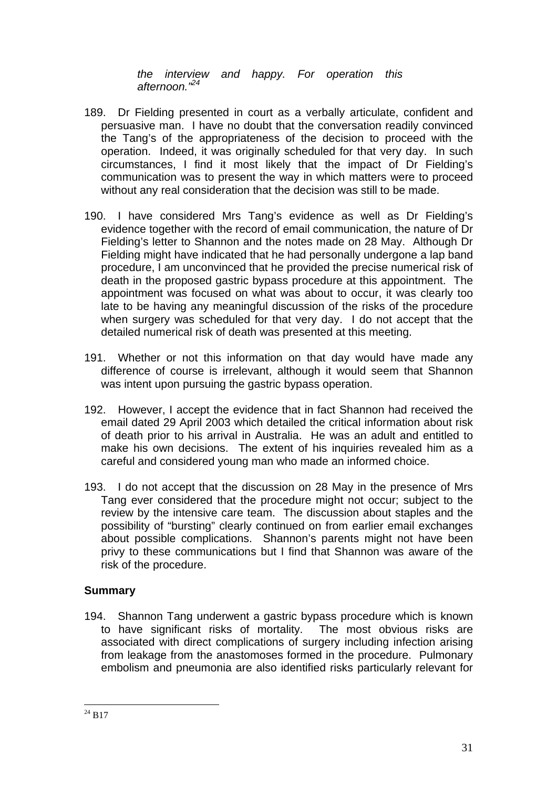*the interview and happy. For operation this afternoon."24*

- 189. Dr Fielding presented in court as a verbally articulate, confident and persuasive man. I have no doubt that the conversation readily convinced the Tang's of the appropriateness of the decision to proceed with the operation. Indeed, it was originally scheduled for that very day. In such circumstances, I find it most likely that the impact of Dr Fielding's communication was to present the way in which matters were to proceed without any real consideration that the decision was still to be made.
- 190. I have considered Mrs Tang's evidence as well as Dr Fielding's evidence together with the record of email communication, the nature of Dr Fielding's letter to Shannon and the notes made on 28 May. Although Dr Fielding might have indicated that he had personally undergone a lap band procedure, I am unconvinced that he provided the precise numerical risk of death in the proposed gastric bypass procedure at this appointment. The appointment was focused on what was about to occur, it was clearly too late to be having any meaningful discussion of the risks of the procedure when surgery was scheduled for that very day. I do not accept that the detailed numerical risk of death was presented at this meeting.
- 191. Whether or not this information on that day would have made any difference of course is irrelevant, although it would seem that Shannon was intent upon pursuing the gastric bypass operation.
- 192. However, I accept the evidence that in fact Shannon had received the email dated 29 April 2003 which detailed the critical information about risk of death prior to his arrival in Australia. He was an adult and entitled to make his own decisions. The extent of his inquiries revealed him as a careful and considered young man who made an informed choice.
- 193. I do not accept that the discussion on 28 May in the presence of Mrs Tang ever considered that the procedure might not occur; subject to the review by the intensive care team. The discussion about staples and the possibility of "bursting" clearly continued on from earlier email exchanges about possible complications. Shannon's parents might not have been privy to these communications but I find that Shannon was aware of the risk of the procedure.

### **Summary**

194. Shannon Tang underwent a gastric bypass procedure which is known to have significant risks of mortality. The most obvious risks are associated with direct complications of surgery including infection arising from leakage from the anastomoses formed in the procedure. Pulmonary embolism and pneumonia are also identified risks particularly relevant for

 $\overline{a}$  $^{24}$  B17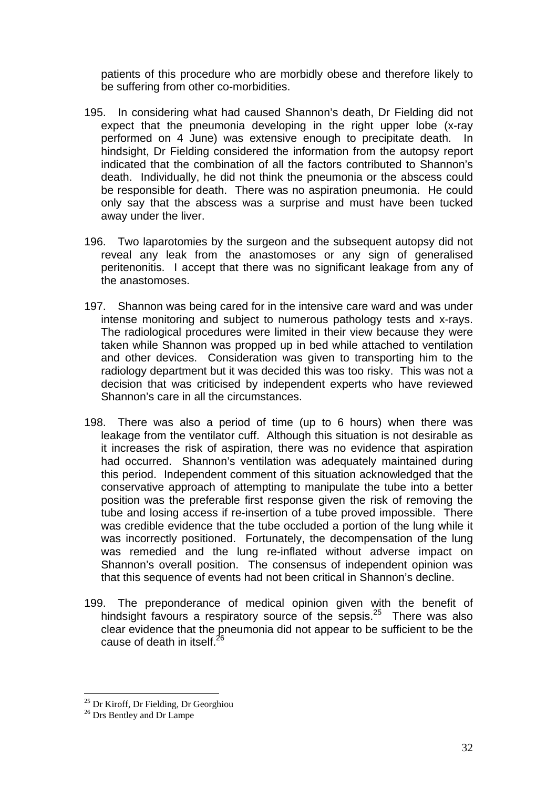patients of this procedure who are morbidly obese and therefore likely to be suffering from other co-morbidities.

- 195. In considering what had caused Shannon's death, Dr Fielding did not expect that the pneumonia developing in the right upper lobe (x-ray performed on 4 June) was extensive enough to precipitate death. In hindsight, Dr Fielding considered the information from the autopsy report indicated that the combination of all the factors contributed to Shannon's death. Individually, he did not think the pneumonia or the abscess could be responsible for death. There was no aspiration pneumonia. He could only say that the abscess was a surprise and must have been tucked away under the liver.
- 196. Two laparotomies by the surgeon and the subsequent autopsy did not reveal any leak from the anastomoses or any sign of generalised peritenonitis. I accept that there was no significant leakage from any of the anastomoses.
- 197. Shannon was being cared for in the intensive care ward and was under intense monitoring and subject to numerous pathology tests and x-rays. The radiological procedures were limited in their view because they were taken while Shannon was propped up in bed while attached to ventilation and other devices. Consideration was given to transporting him to the radiology department but it was decided this was too risky. This was not a decision that was criticised by independent experts who have reviewed Shannon's care in all the circumstances.
- 198. There was also a period of time (up to 6 hours) when there was leakage from the ventilator cuff. Although this situation is not desirable as it increases the risk of aspiration, there was no evidence that aspiration had occurred. Shannon's ventilation was adequately maintained during this period. Independent comment of this situation acknowledged that the conservative approach of attempting to manipulate the tube into a better position was the preferable first response given the risk of removing the tube and losing access if re-insertion of a tube proved impossible. There was credible evidence that the tube occluded a portion of the lung while it was incorrectly positioned. Fortunately, the decompensation of the lung was remedied and the lung re-inflated without adverse impact on Shannon's overall position. The consensus of independent opinion was that this sequence of events had not been critical in Shannon's decline.
- 199. The preponderance of medical opinion given with the benefit of hindsight favours a respiratory source of the sepsis.<sup>25</sup> There was also clear evidence that the pneumonia did not appear to be sufficient to be the cause of death in itself.<sup>26</sup>

 $^{25}$  Dr Kiroff, Dr Fielding, Dr Georghiou  $^{26}$  Drs Bentley and Dr Lampe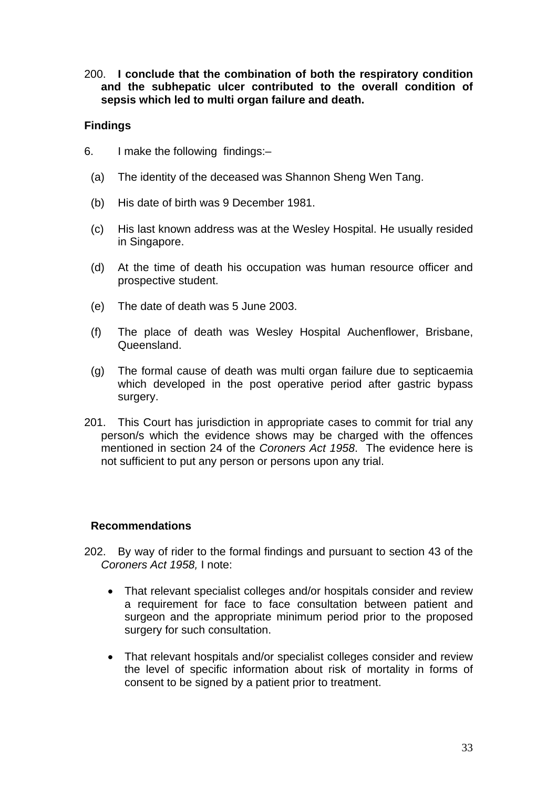200. **I conclude that the combination of both the respiratory condition and the subhepatic ulcer contributed to the overall condition of sepsis which led to multi organ failure and death.** 

#### **Findings**

- 6. I make the following findings:–
	- (a) The identity of the deceased was Shannon Sheng Wen Tang.
	- (b) His date of birth was 9 December 1981.
	- (c) His last known address was at the Wesley Hospital. He usually resided in Singapore.
	- (d) At the time of death his occupation was human resource officer and prospective student.
	- (e) The date of death was 5 June 2003.
	- (f) The place of death was Wesley Hospital Auchenflower, Brisbane, Queensland.
	- (g) The formal cause of death was multi organ failure due to septicaemia which developed in the post operative period after gastric bypass surgery.
- 201. This Court has jurisdiction in appropriate cases to commit for trial any person/s which the evidence shows may be charged with the offences mentioned in section 24 of the *Coroners Act 1958*. The evidence here is not sufficient to put any person or persons upon any trial.

#### **Recommendations**

- 202. By way of rider to the formal findings and pursuant to section 43 of the *Coroners Act 1958,* I note:
	- That relevant specialist colleges and/or hospitals consider and review a requirement for face to face consultation between patient and surgeon and the appropriate minimum period prior to the proposed surgery for such consultation.
	- That relevant hospitals and/or specialist colleges consider and review the level of specific information about risk of mortality in forms of consent to be signed by a patient prior to treatment.